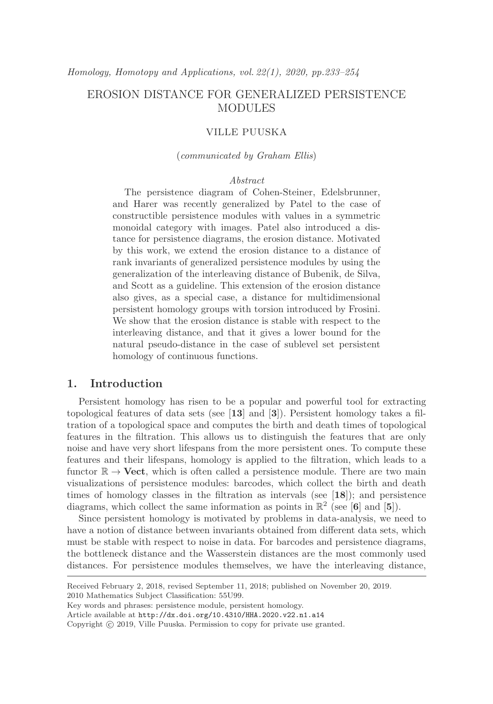# EROSION DISTANCE FOR GENERALIZED PERSISTENCE MODULES

## VILLE PUUSKA

### (communicated by Graham Ellis)

## Abstract

The persistence diagram of Cohen-Steiner, Edelsbrunner, and Harer was recently generalized by Patel to the case of constructible persistence modules with values in a symmetric monoidal category with images. Patel also introduced a distance for persistence diagrams, the erosion distance. Motivated by this work, we extend the erosion distance to a distance of rank invariants of generalized persistence modules by using the generalization of the interleaving distance of Bubenik, de Silva, and Scott as a guideline. This extension of the erosion distance also gives, as a special case, a distance for multidimensional persistent homology groups with torsion introduced by Frosini. We show that the erosion distance is stable with respect to the interleaving distance, and that it gives a lower bound for the natural pseudo-distance in the case of sublevel set persistent homology of continuous functions.

# **1. Introduction**

Persistent homology has risen to be a popular and powerful tool for extracting topological features of data sets (see [**13**] and [**3**]). Persistent homology takes a filtration of a topological space and computes the birth and death times of topological features in the filtration. This allows us to distinguish the features that are only noise and have very short lifespans from the more persistent ones. To compute these features and their lifespans, homology is applied to the filtration, which leads to a functor  $\mathbb{R} \to \textbf{Vect}$ , which is often called a persistence module. There are two main visualizations of persistence modules: barcodes, which collect the birth and death times of homology classes in the filtration as intervals (see [**18**]); and persistence diagrams, which collect the same information as points in  $\mathbb{R}^2$  (see [6] and [5]).

Since persistent homology is motivated by problems in data-analysis, we need to have a notion of distance between invariants obtained from different data sets, which must be stable with respect to noise in data. For barcodes and persistence diagrams, the bottleneck distance and the Wasserstein distances are the most commonly used distances. For persistence modules themselves, we have the interleaving distance,

Received February 2, 2018, revised September 11, 2018; published on November 20, 2019. 2010 Mathematics Subject Classification: 55U99.

Key words and phrases: persistence module, persistent homology.

Article available at http://dx.doi.org/10.4310/HHA.2020.v22.n1.a14

Copyright  $\odot$  2019, Ville Puuska. Permission to copy for private use granted.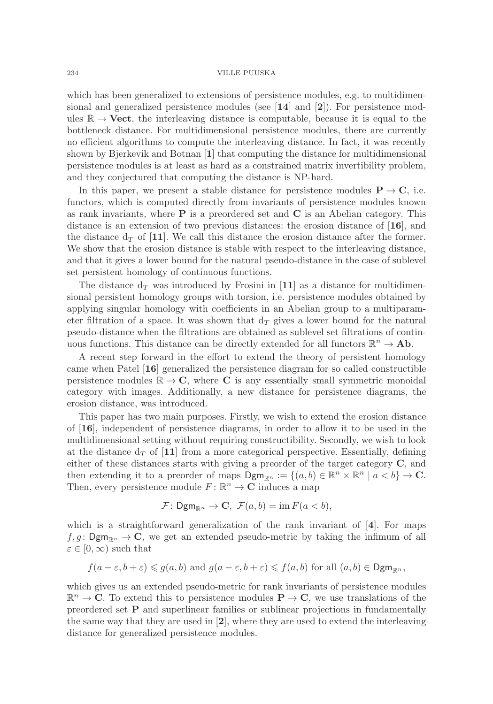which has been generalized to extensions of persistence modules, e.g. to multidimensional and generalized persistence modules (see [**14**] and [**2**]). For persistence modules  $\mathbb{R} \to \textbf{Vect}$ , the interleaving distance is computable, because it is equal to the bottleneck distance. For multidimensional persistence modules, there are currently no efficient algorithms to compute the interleaving distance. In fact, it was recently shown by Bjerkevik and Botnan [**1**] that computing the distance for multidimensional persistence modules is at least as hard as a constrained matrix invertibility problem, and they conjectured that computing the distance is NP-hard.

In this paper, we present a stable distance for persistence modules  $P \rightarrow C$ , i.e. functors, which is computed directly from invariants of persistence modules known as rank invariants, where **P** is a preordered set and **C** is an Abelian category. This distance is an extension of two previous distances: the erosion distance of [**16**], and the distance  $d_T$  of [11]. We call this distance the erosion distance after the former. We show that the erosion distance is stable with respect to the interleaving distance, and that it gives a lower bound for the natural pseudo-distance in the case of sublevel set persistent homology of continuous functions.

The distance  $d<sub>T</sub>$  was introduced by Frosini in [11] as a distance for multidimensional persistent homology groups with torsion, i.e. persistence modules obtained by applying singular homology with coefficients in an Abelian group to a multiparameter filtration of a space. It was shown that  $d<sub>T</sub>$  gives a lower bound for the natural pseudo-distance when the filtrations are obtained as sublevel set filtrations of continuous functions. This distance can be directly extended for all functors  $\mathbb{R}^n \to \mathbf{Ab}$ .

A recent step forward in the effort to extend the theory of persistent homology came when Patel [**16**] generalized the persistence diagram for so called constructible persistence modules  $\mathbb{R} \to \mathbb{C}$ , where **C** is any essentially small symmetric monoidal category with images. Additionally, a new distance for persistence diagrams, the erosion distance, was introduced.

This paper has two main purposes. Firstly, we wish to extend the erosion distance of [**16**], independent of persistence diagrams, in order to allow it to be used in the multidimensional setting without requiring constructibility. Secondly, we wish to look at the distance  $d_T$  of [11] from a more categorical perspective. Essentially, defining either of these distances starts with giving a preorder of the target category **C**, and then extending it to a preorder of maps  $\text{Dgm}_{\mathbb{R}^n} := \{(a, b) \in \mathbb{R}^n \times \mathbb{R}^n \mid a < b\} \to \mathbb{C}$ . Then, every persistence module  $F: \mathbb{R}^n \to \mathbb{C}$  induces a map

$$
\mathcal{F}: \mathsf{Dgm}_{\mathbb{R}^n} \to \mathbf{C}, \ \mathcal{F}(a,b) = \operatorname{im} F(a
$$

which is a straightforward generalization of the rank invariant of [**4**]. For maps  $f,g: \mathsf{Dgm}_{\mathbb{R}^n} \to \mathbb{C}$ , we get an extended pseudo-metric by taking the infimum of all  $\varepsilon \in [0,\infty)$  such that

$$
f(a-\varepsilon,b+\varepsilon) \leq g(a,b)
$$
 and  $g(a-\varepsilon,b+\varepsilon) \leq f(a,b)$  for all  $(a,b) \in \text{Dgm}_{\mathbb{R}^n}$ ,

which gives us an extended pseudo-metric for rank invariants of persistence modules  $\mathbb{R}^n \to \mathbb{C}$ . To extend this to persistence modules  $\mathbf{P} \to \mathbb{C}$ , we use translations of the preordered set **P** and superlinear families or sublinear projections in fundamentally the same way that they are used in [**2**], where they are used to extend the interleaving distance for generalized persistence modules.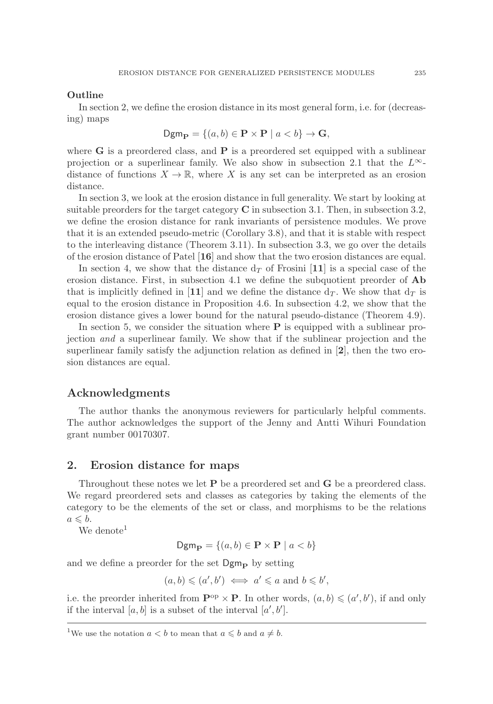### **Outline**

In section 2, we define the erosion distance in its most general form, i.e. for (decreasing) maps

$$
\mathsf{Dgm}_{\mathbf{P}} = \{(a, b) \in \mathbf{P} \times \mathbf{P} \mid a < b\} \to \mathbf{G},
$$

where **G** is a preordered class, and **P** is a preordered set equipped with a sublinear projection or a superlinear family. We also show in subsection 2.1 that the  $L^{\infty}$ distance of functions  $X \to \mathbb{R}$ , where X is any set can be interpreted as an erosion distance.

In section 3, we look at the erosion distance in full generality. We start by looking at suitable preorders for the target category **C** in subsection 3.1. Then, in subsection 3.2, we define the erosion distance for rank invariants of persistence modules. We prove that it is an extended pseudo-metric (Corollary 3.8), and that it is stable with respect to the interleaving distance (Theorem 3.11). In subsection 3.3, we go over the details of the erosion distance of Patel [**16**] and show that the two erosion distances are equal.

In section 4, we show that the distance  $d<sub>T</sub>$  of Frosini [11] is a special case of the erosion distance. First, in subsection 4.1 we define the subquotient preorder of **Ab** that is implicitly defined in [11] and we define the distance  $d_T$ . We show that  $d_T$  is equal to the erosion distance in Proposition 4.6. In subsection 4.2, we show that the erosion distance gives a lower bound for the natural pseudo-distance (Theorem 4.9).

In section 5, we consider the situation where **P** is equipped with a sublinear projection and a superlinear family. We show that if the sublinear projection and the superlinear family satisfy the adjunction relation as defined in [**2**], then the two erosion distances are equal.

## **Acknowledgments**

The author thanks the anonymous reviewers for particularly helpful comments. The author acknowledges the support of the Jenny and Antti Wihuri Foundation grant number 00170307.

## **2. Erosion distance for maps**

Throughout these notes we let **P** be a preordered set and **G** be a preordered class. We regard preordered sets and classes as categories by taking the elements of the category to be the elements of the set or class, and morphisms to be the relations  $a \leqslant b.$ 

We denote<sup>1</sup>

$$
\mathsf{Dgm}_{\mathbf{P}} = \{(a, b) \in \mathbf{P} \times \mathbf{P} \mid a < b\}
$$

and we define a preorder for the set  $Dgm_{\bf{p}}$  by setting

$$
(a,b) \leqslant (a',b') \iff a' \leqslant a \text{ and } b \leqslant b',
$$

i.e. the preorder inherited from  $\mathbf{P}^{\text{op}} \times \mathbf{P}$ . In other words,  $(a, b) \leq (a', b')$ , if and only if the interval  $[a, b]$  is a subset of the interval  $[a', b']$ .

<sup>&</sup>lt;sup>1</sup>We use the notation  $a < b$  to mean that  $a \leq b$  and  $a \neq b$ .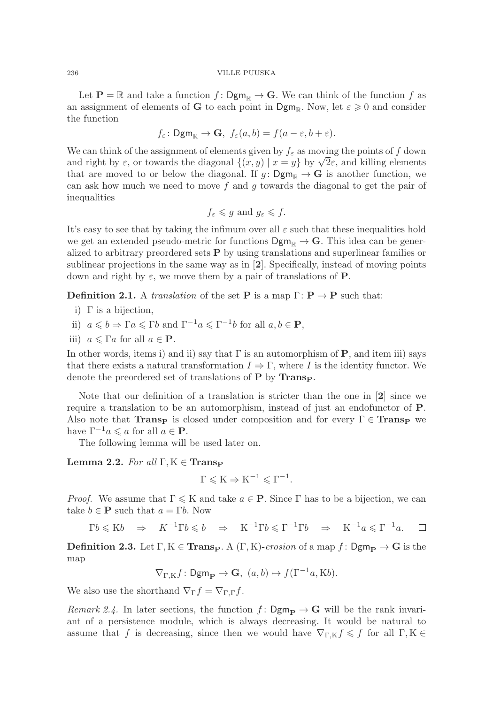Let  $P = \mathbb{R}$  and take a function  $f: \mathsf{Dgm}_{\mathbb{R}} \to \mathbb{G}$ . We can think of the function f as an assignment of elements of **G** to each point in  $\text{Dgm}_{\mathbb{R}}$ . Now, let  $\varepsilon \geq 0$  and consider the function

$$
f_{\varepsilon}
$$
:  $Dgm_{\mathbb{R}} \to \mathbf{G}$ ,  $f_{\varepsilon}(a, b) = f(a - \varepsilon, b + \varepsilon)$ .

We can think of the assignment of elements given by  $f_{\varepsilon}$  as moving the points of f down and right by  $\varepsilon$ , or towards the diagonal  $\{(x, y) | x = y\}$  by  $\sqrt{2}\varepsilon$ , and killing elements that are moved to or below the diagonal. If  $g: \mathsf{Dgm}_\mathbb{R} \to \mathbf{G}$  is another function, we can ask how much we need to move f and g towards the diagonal to get the pair of inequalities

$$
f_{\varepsilon} \leq g
$$
 and  $g_{\varepsilon} \leq f$ .

It's easy to see that by taking the infimum over all  $\varepsilon$  such that these inequalities hold we get an extended pseudo-metric for functions  $\mathsf{Dgm}_{\mathbb{R}} \to \mathbf{G}$ . This idea can be generalized to arbitrary preordered sets **P** by using translations and superlinear families or sublinear projections in the same way as in [**2**]. Specifically, instead of moving points down and right by  $\varepsilon$ , we move them by a pair of translations of **P**.

**Definition 2.1.** A translation of the set **P** is a map  $\Gamma: \mathbf{P} \to \mathbf{P}$  such that:

- i) Γ is a bijection,
- ii)  $a \leq b \Rightarrow \Gamma a \leq \Gamma b$  and  $\Gamma^{-1} a \leq \Gamma^{-1} b$  for all  $a, b \in \mathbf{P}$ ,
- iii)  $a \leq \Gamma a$  for all  $a \in \mathbf{P}$ .

In other words, items i) and ii) say that  $\Gamma$  is an automorphism of **P**, and item iii) says that there exists a natural transformation  $I \Rightarrow \Gamma$ , where I is the identity functor. We denote the preordered set of translations of **P** by **TransP**.

Note that our definition of a translation is stricter than the one in [**2**] since we require a translation to be an automorphism, instead of just an endofunctor of **P**. Also note that **TransP** is closed under composition and for every  $\Gamma \in \mathbf{Transp}$  we have  $\Gamma^{-1}a \leqslant a$  for all  $a \in \mathbf{P}$ .

The following lemma will be used later on.

**Lemma 2.2.** For all  $\Gamma, K \in \mathbf{Transp}$ 

$$
\Gamma \leqslant K \Rightarrow K^{-1} \leqslant \Gamma^{-1}.
$$

*Proof.* We assume that  $\Gamma \leq K$  and take  $a \in \mathbf{P}$ . Since  $\Gamma$  has to be a bijection, we can take  $b \in \mathbf{P}$  such that  $a = \Gamma b$ . Now

 $\Gamma b \leqslant K b \Rightarrow K^{-1} \Gamma b \leqslant b \Rightarrow K^{-1} \Gamma b \leqslant \Gamma^{-1} \Gamma b \Rightarrow K^{-1} a \leqslant \Gamma^{-1} a.$  $\Box$ 

**Definition 2.3.** Let  $\Gamma, K \in \mathbf{Transp}$ . A  $(\Gamma, K)$ -erosion of a map  $f : \mathsf{Dgm}_{\mathbf{P}} \to \mathbf{G}$  is the map

$$
\nabla_{\Gamma,K} f \colon \mathsf{Dgm}_{\mathbf{P}} \to \mathbf{G}, \ (a,b) \mapsto f(\Gamma^{-1}a, \mathrm{K}b).
$$

We also use the shorthand  $\nabla_{\Gamma} f = \nabla_{\Gamma, \Gamma} f$ .

*Remark 2.4.* In later sections, the function  $f: \mathsf{Dgm}_{\mathbf{P}} \to \mathbf{G}$  will be the rank invariant of a persistence module, which is always decreasing. It would be natural to assume that f is decreasing, since then we would have  $\nabla_{\Gamma,K} f \leq f$  for all  $\Gamma, K \in$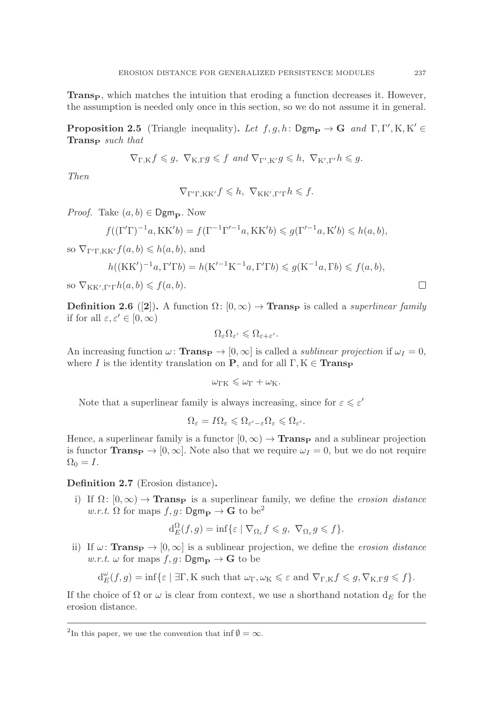**Trans<sub>p</sub>**, which matches the intuition that eroding a function decreases it. However, the assumption is needed only once in this section, so we do not assume it in general.

**Proposition 2.5** (Triangle inequality). Let  $f, g, h: \text{Dgm}_{\mathbf{P}} \to \mathbf{G}$  and  $\Gamma, \Gamma', \text{K}, \text{K}' \in \mathbf{Trans}_{\mathbf{P}}$  such that **Trans<sup>P</sup>** such that

$$
\nabla_{\Gamma,K} f \leq g, \ \nabla_{\mathbf{K},\Gamma} g \leqslant f \ and \ \nabla_{\Gamma',\mathbf{K}'} g \leqslant h, \ \nabla_{\mathbf{K}',\Gamma'} h \leqslant g.
$$

Then

 $\nabla_{\Gamma'\Gamma,KK'} f \leqslant h, \ \nabla_{KK',\Gamma'\Gamma} h \leqslant f.$ 

*Proof.* Take  $(a, b) \in \mathsf{Dgm}_P$ . Now

$$
f((\Gamma'\Gamma)^{-1}a, KK'b) = f(\Gamma^{-1}\Gamma'^{-1}a, KK'b) \leq g(\Gamma'^{-1}a, K'b) \leq h(a, b),
$$

so  $\nabla_{\Gamma' \Gamma, K K'} f(a, b) \leq h(a, b)$ , and

$$
h((\mathbf{KK}')^{-1}a, \Gamma'\Gamma b) = h(\mathbf{K}'^{-1}\mathbf{K}^{-1}a, \Gamma'\Gamma b) \leq g(\mathbf{K}^{-1}a, \Gamma b) \leq f(a, b),
$$
 so  $\nabla_{\mathbf{KK}', \Gamma'\Gamma}h(a, b) \leq f(a, b).$ 

**Definition 2.6** ([**2**]). A function  $\Omega: [0, \infty) \to \textbf{Trans}_{\mathbf{P}}$  is called a *superlinear family* if for all  $\varepsilon, \varepsilon' \in [0, \infty)$ 

$$
\Omega_{\varepsilon} \Omega_{\varepsilon'} \leqslant \Omega_{\varepsilon + \varepsilon'}.
$$

An increasing function  $\omega$ : **Trans** $\mathbf{p} \to [0, \infty]$  is called a *sublinear projection* if  $\omega_I = 0$ , where I is the identity translation on **P**, and for all  $\Gamma, K \in \mathbf{Transp}$ 

$$
\omega_{\Gamma K} \leqslant \omega_{\Gamma} + \omega_{K}.
$$

Note that a superlinear family is always increasing, since for  $\varepsilon \leqslant \varepsilon'$ 

$$
\Omega_{\varepsilon} = I \Omega_{\varepsilon} \leqslant \Omega_{\varepsilon' - \varepsilon} \Omega_{\varepsilon} \leqslant \Omega_{\varepsilon'}.
$$

Hence, a superlinear family is a functor  $[0, \infty) \to \textbf{Trans}_{\mathbf{P}}$  and a sublinear projection is functor **TransP**  $\rightarrow$  [0,  $\infty$ ]. Note also that we require  $\omega_I = 0$ , but we do not require  $\Omega_0 = I$ .

**Definition 2.7** (Erosion distance)**.**

i) If  $\Omega: [0, \infty) \to \textbf{Trans}_{\mathbf{P}}$  is a superlinear family, we define the erosion distance w.r.t.  $\Omega$  for maps  $f, g : \mathsf{Dgm}_{\mathbf{P}} \to \mathbf{G}$  to be<sup>2</sup>

$$
d_E^{\Omega}(f,g) = \inf \{ \varepsilon \mid \nabla_{\Omega_{\varepsilon}} f \leq g, \nabla_{\Omega_{\varepsilon}} g \leq f \}.
$$

ii) If  $\omega$ : **TransP**  $\rightarrow$  [0,  $\infty$ ] is a sublinear projection, we define the erosion distance  $w.r.t.$   $\omega$  for maps  $f, g:$  **Dgm** $\mathbf{p} \to \mathbf{G}$  to be

$$
d_E^{\omega}(f,g) = \inf \{ \varepsilon \mid \exists \Gamma, K \text{ such that } \omega_{\Gamma}, \omega_K \leq \varepsilon \text{ and } \nabla_{\Gamma,K} f \leq g, \nabla_{K,\Gamma} g \leq f \}.
$$

If the choice of  $\Omega$  or  $\omega$  is clear from context, we use a shorthand notation  $d_E$  for the erosion distance.

<sup>&</sup>lt;sup>2</sup>In this paper, we use the convention that inf  $\emptyset = \infty$ .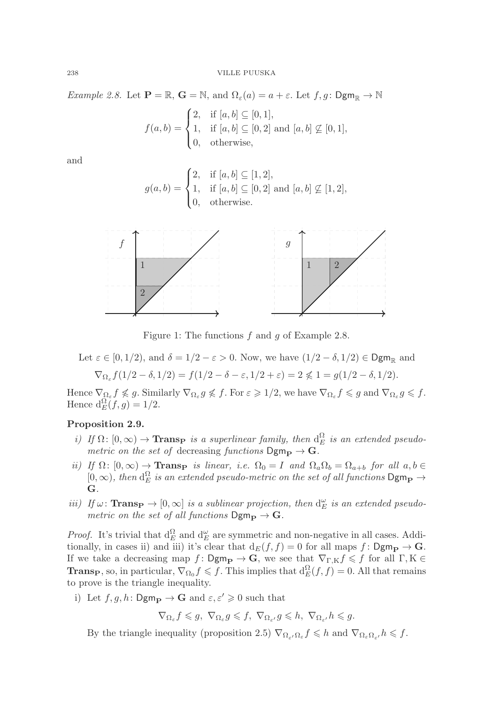*Example 2.8.* Let  $\mathbf{P} = \mathbb{R}$ ,  $\mathbf{G} = \mathbb{N}$ , and  $\Omega_{\varepsilon}(a) = a + \varepsilon$ . Let  $f, g : \mathsf{Dgm}_{\mathbb{R}} \to \mathbb{N}$ 

$$
f(a,b) = \begin{cases} 2, & \text{if } [a,b] \subseteq [0,1], \\ 1, & \text{if } [a,b] \subseteq [0,2] \text{ and } [a,b] \not\subseteq [0,1], \\ 0, & \text{otherwise,} \end{cases}
$$

and

$$
g(a, b) = \begin{cases} 2, & \text{if } [a, b] \subseteq [1, 2], \\ 1, & \text{if } [a, b] \subseteq [0, 2] \text{ and } [a, b] \not\subseteq [1, 2], \\ 0, & \text{otherwise.} \end{cases}
$$



Figure 1: The functions  $f$  and  $g$  of Example 2.8.

Let 
$$
\varepsilon \in [0, 1/2)
$$
, and  $\delta = 1/2 - \varepsilon > 0$ . Now, we have  $(1/2 - \delta, 1/2) \in \text{Dgm}_{\mathbb{R}}$  and  

$$
\nabla_{\Omega_{\varepsilon}} f(1/2 - \delta, 1/2) = f(1/2 - \delta - \varepsilon, 1/2 + \varepsilon) = 2 \nless 1 = g(1/2 - \delta, 1/2).
$$

Hence  $\nabla_{\Omega_{\varepsilon}} f \nleqslant g$ . Similarly  $\nabla_{\Omega_{\varepsilon}} g \nleqslant f$ . For  $\varepsilon \geqslant 1/2$ , we have  $\nabla_{\Omega_{\varepsilon}} f \leqslant g$  and  $\nabla_{\Omega_{\varepsilon}} g \leqslant f$ . Hence  $d_E^{\Omega}(f,g)=1/2$ .

## **Proposition 2.9.**

- i) If  $\Omega: [0, \infty) \to \mathbf{Transp}$  is a superlinear family, then  $d_E^{\Omega}$  is an extended pseudo-<br>matric on the set of docrossing functions  $\mathbf{D}_{\mathbf{F}} \to \mathbf{G}$ metric on the set of decreasing functions  $Dgm_P \rightarrow G$ .
- ii) If  $\Omega$ :  $[0, \infty) \to \textbf{Trans}_{\mathbf{P}}$  is linear, i.e.  $\Omega_0 = I$  and  $\Omega_a \Omega_b = \Omega_{a+b}$  for all  $a, b \in$  $[0, \infty)$ , then  $d_E^{\Omega}$  is an extended pseudo-metric on the set of all functions  $\mathsf{Dgm}_{\mathbf{P}} \to \mathbf{G}$ **G**.
- iii) If  $\omega$ : **Trans**  $\mathbf{P} \to [0, \infty]$  is a sublinear projection, then  $d_E^{\omega}$  is an extended pseudo-<br>metric on the set of all functions  $\mathbf{D}\mathbf{m} \to \mathbf{C}$ metric on the set of all functions  $\text{Dgm}_{\mathbf{P}} \to \mathbf{G}$ .

*Proof.* It's trivial that  $d_E^{\Omega}$  and  $d_{E}^{\omega}$  are symmetric and non-negative in all cases. Additionally in gases ii) and iii) it's glass that  $d_{\square}(f, f) = 0$  for all maps f;  $\mathsf{Dgm} \rightarrow \mathbf{C}$ tionally, in cases ii) and iii) it's clear that  $d_E(f, f) = 0$  for all maps  $f: \mathsf{Dgm}_{\mathbf{P}} \to \mathbf{G}$ . If we take a decreasing map  $f: \mathsf{Dgm}_{\mathbf{P}} \to \mathbf{G}$ , we see that  $\nabla_{\Gamma,K} f \leq f$  for all  $\Gamma, K \in \mathbf{T}$  for all  $\Gamma, K \in \mathbf{T}$ **TransP**, so, in particular,  $\nabla_{\Omega_0} f \leq f$ . This implies that  $d_E^{\Omega}(f, f) = 0$ . All that remains to prove is the triangle inequality. to prove is the triangle inequality.

i) Let  $f, g, h: \mathsf{Dgm}_{\mathbf{P}} \to \mathbf{G}$  and  $\varepsilon, \varepsilon' \geq 0$  such that

$$
\nabla_{\Omega_{\varepsilon}} f \leqslant g, \ \nabla_{\Omega_{\varepsilon}} g \leqslant f, \ \nabla_{\Omega_{\varepsilon'}} g \leqslant h, \ \nabla_{\Omega_{\varepsilon'}} h \leqslant g.
$$

By the triangle inequality (proposition 2.5)  $\nabla_{\Omega_{\varepsilon}/\Omega_{\varepsilon}} f \leq h$  and  $\nabla_{\Omega_{\varepsilon}/h} f \leq f$ .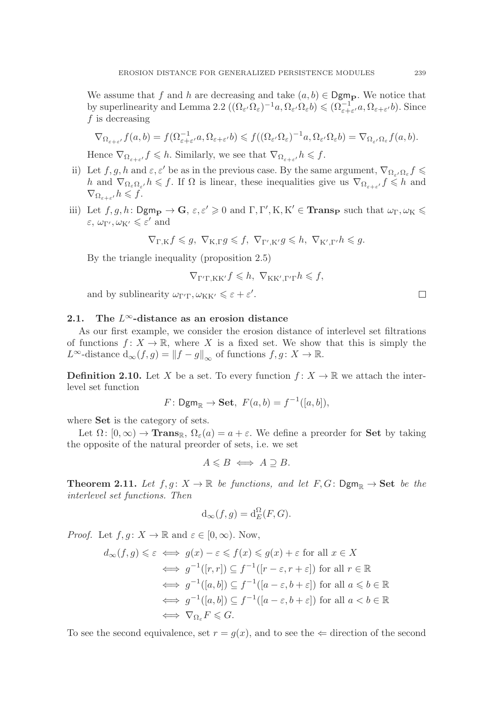We assume that f and h are decreasing and take  $(a, b) \in \mathsf{Dgm}_P$ . We notice that by superlinearity and Lemma 2.2  $((\Omega_{\varepsilon'}\Omega_{\varepsilon})^{-1}a, \Omega_{\varepsilon'}\Omega_{\varepsilon}b) \leq (\Omega_{\varepsilon+\varepsilon'}^{-1}a, \Omega_{\varepsilon+\varepsilon'}b)$ . Since f is decreasing  $f$  is decreasing

$$
\nabla_{\Omega_{\varepsilon+\varepsilon'}} f(a,b) = f(\Omega_{\varepsilon+\varepsilon'}^{-1}a,\Omega_{\varepsilon+\varepsilon'}b) \leqslant f((\Omega_{\varepsilon'}\Omega_{\varepsilon})^{-1}a,\Omega_{\varepsilon'}\Omega_{\varepsilon}b) = \nabla_{\Omega_{\varepsilon'}}\Omega_{\varepsilon}f(a,b).
$$

Hence  $\nabla_{\Omega_{\varepsilon+\varepsilon'}} f \leqslant h$ . Similarly, we see that  $\nabla_{\Omega_{\varepsilon+\varepsilon'}} h \leqslant f$ .

- ii) Let  $f, g, h$  and  $\varepsilon, \varepsilon'$  be as in the previous case. By the same argument,  $\nabla_{\Omega_{\varepsilon}} \Omega_{\varepsilon} f \leq$ h and  $\nabla_{\Omega_{\varepsilon},\Omega_{\varepsilon'}} h \leqslant f$ . If  $\Omega$  is linear, these inequalities give us  $\nabla_{\Omega_{\varepsilon+\varepsilon'}} f \leqslant h$  and  $\nabla_{\Omega_{\varepsilon+\varepsilon'}} h \leqslant f.$
- iii) Let  $f, g, h: \text{Dgm}_{\mathbf{P}} \to \mathbf{G}, \varepsilon, \varepsilon' \geq 0$  and  $\Gamma, \Gamma', \mathbf{K}, \mathbf{K}' \in \textbf{Trans}_{\mathbf{P}}$  such that  $\omega_{\Gamma}, \omega_{\mathbf{K}} \leq \varepsilon'$  and  $\varepsilon, \, \omega_{\Gamma'}, \omega_{\mathrm{K}'} \leqslant \varepsilon'$  and

$$
\nabla_{\Gamma,K} f \leq g, \ \nabla_{\mathbf{K},\Gamma} g \leqslant f, \ \nabla_{\Gamma',\mathbf{K}'} g \leqslant h, \ \nabla_{\mathbf{K}',\Gamma'} h \leqslant g.
$$

By the triangle inequality (proposition 2.5)

$$
\nabla_{\Gamma'\Gamma,\mathbf{KK}'} f \leq h, \ \nabla_{\mathbf{KK}',\Gamma'\Gamma} h \leq f,
$$

and by sublinearity  $\omega_{\Gamma'\Gamma}, \omega_{\text{KK}'} \leq \varepsilon + \varepsilon'.$ 

## **2.1. The** L∞**-distance as an erosion distance**

As our first example, we consider the erosion distance of interlevel set filtrations of functions  $f: X \to \mathbb{R}$ , where X is a fixed set. We show that this is simply the L<sup>∞</sup>-distance  $d_{\infty}(f,g) = ||f - g||_{\infty}$  of functions  $f, g \colon X \to \mathbb{R}$ .

**Definition 2.10.** Let X be a set. To every function  $f: X \to \mathbb{R}$  we attach the interlevel set function

$$
F: \mathsf{Dgm}_{\mathbb{R}} \to \mathbf{Set}, \ F(a, b) = f^{-1}([a, b]),
$$

where **Set** is the category of sets.

Let  $\Omega: [0, \infty) \to \mathbf{Trans}_{\mathbb{R}}$ ,  $\Omega_{\varepsilon}(a) = a + \varepsilon$ . We define a preorder for **Set** by taking the opposite of the natural preorder of sets, i.e. we set

$$
A \leq B \iff A \supseteq B.
$$

**Theorem 2.11.** Let  $f, g: X \to \mathbb{R}$  be functions, and let  $F, G: \text{Dgm}_{\mathbb{R}} \to \text{Set}$  be the interlevel set functions. Then

$$
d_{\infty}(f,g) = d_E^{\Omega}(F,G).
$$

*Proof.* Let  $f, g: X \to \mathbb{R}$  and  $\varepsilon \in [0, \infty)$ . Now,

$$
d_{\infty}(f,g) \leq \varepsilon \iff g(x) - \varepsilon \leq f(x) \leq g(x) + \varepsilon \text{ for all } x \in X
$$
  
\n
$$
\iff g^{-1}([r,r]) \subseteq f^{-1}([r-\varepsilon,r+\varepsilon]) \text{ for all } r \in \mathbb{R}
$$
  
\n
$$
\iff g^{-1}([a,b]) \subseteq f^{-1}([a-\varepsilon,b+\varepsilon]) \text{ for all } a \leq b \in \mathbb{R}
$$
  
\n
$$
\iff g^{-1}([a,b]) \subseteq f^{-1}([a-\varepsilon,b+\varepsilon]) \text{ for all } a < b \in \mathbb{R}
$$
  
\n
$$
\iff \nabla_{\Omega_{\varepsilon}} F \leq G.
$$

To see the second equivalence, set  $r = g(x)$ , and to see the  $\Leftarrow$  direction of the second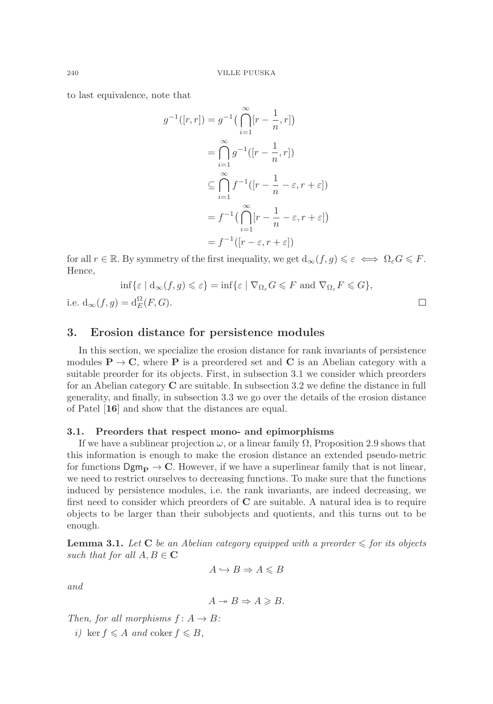to last equivalence, note that

$$
g^{-1}([r,r]) = g^{-1}\left(\bigcap_{i=1}^{\infty} [r - \frac{1}{n}, r]\right)
$$
  

$$
= \bigcap_{i=1}^{\infty} g^{-1}([r - \frac{1}{n}, r])
$$
  

$$
\subseteq \bigcap_{i=1}^{\infty} f^{-1}([r - \frac{1}{n} - \varepsilon, r + \varepsilon])
$$
  

$$
= f^{-1}\left(\bigcap_{i=1}^{\infty} [r - \frac{1}{n} - \varepsilon, r + \varepsilon]\right)
$$
  

$$
= f^{-1}([r - \varepsilon, r + \varepsilon])
$$

for all  $r \in \mathbb{R}$ . By symmetry of the first inequality, we get  $d_{\infty}(f,g) \leq \varepsilon \iff \Omega_{\varepsilon}G \leq F$ . Hence,

$$
\inf \{ \varepsilon \mid d_{\infty}(f, g) \leqslant \varepsilon \} = \inf \{ \varepsilon \mid \nabla_{\Omega_{\varepsilon}} G \leqslant F \text{ and } \nabla_{\Omega_{\varepsilon}} F \leqslant G \},
$$
  

$$
g) = d_{E}^{\Omega}(F, G).
$$

 $\Box$ 

# **3. Erosion distance for persistence modules**

In this section, we specialize the erosion distance for rank invariants of persistence modules  $P \rightarrow C$ , where P is a preordered set and C is an Abelian category with a suitable preorder for its objects. First, in subsection 3.1 we consider which preorders for an Abelian category **C** are suitable. In subsection 3.2 we define the distance in full generality, and finally, in subsection 3.3 we go over the details of the erosion distance of Patel [**16**] and show that the distances are equal.

### **3.1. Preorders that respect mono- and epimorphisms**

If we have a sublinear projection  $\omega$ , or a linear family  $\Omega$ , Proposition 2.9 shows that this information is enough to make the erosion distance an extended pseudo-metric for functions  $\text{Dgm}_{\mathbf{P}} \to \mathbf{C}$ . However, if we have a superlinear family that is not linear, we need to restrict ourselves to decreasing functions. To make sure that the functions induced by persistence modules, i.e. the rank invariants, are indeed decreasing, we first need to consider which preorders of **C** are suitable. A natural idea is to require objects to be larger than their subobjects and quotients, and this turns out to be enough.

**Lemma 3.1.** Let  $C$  be an Abelian category equipped with a preorder  $\leq$  for its objects such that for all  $A, B \in \mathbb{C}$ 

$$
A \hookrightarrow B \Rightarrow A \leq B
$$

and

$$
A \twoheadrightarrow B \Rightarrow A \geq B.
$$

Then, for all morphisms  $f: A \rightarrow B$ :

i) ker  $f \leqslant A$  and coker  $f \leqslant B$ ,

i.e.  $d_{\infty}(f,$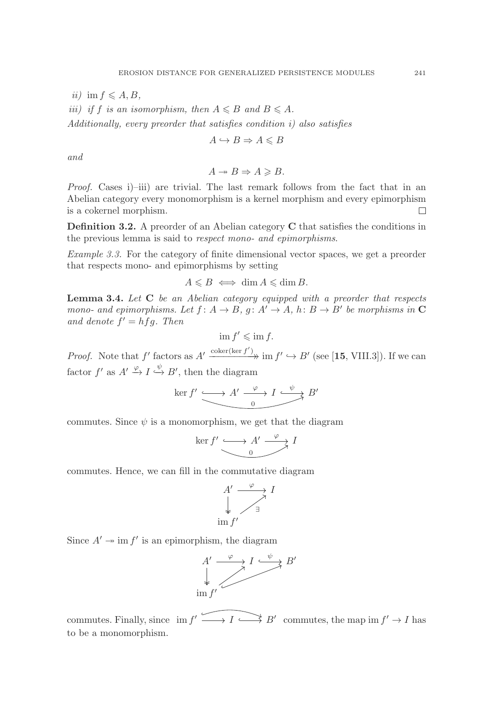$ii)$  im  $f \leqslant A, B$ ,

*iii*) if f is an isomorphism, then  $A \leq B$  and  $B \leq A$ .

Additionally, every preorder that satisfies condition i) also satisfies

$$
A \hookrightarrow B \Rightarrow A \leq B
$$

and

$$
A \twoheadrightarrow B \Rightarrow A \geq B.
$$

Proof. Cases i)–iii) are trivial. The last remark follows from the fact that in an Abelian category every monomorphism is a kernel morphism and every epimorphism is a cokernel morphism.  $\Box$ 

**Definition 3.2.** A preorder of an Abelian category **C** that satisfies the conditions in the previous lemma is said to respect mono- and epimorphisms.

Example 3.3. For the category of finite dimensional vector spaces, we get a preorder that respects mono- and epimorphisms by setting

$$
A \leq B \iff \dim A \leq \dim B.
$$

**Lemma 3.4.** Let **C** be an Abelian category equipped with a preorder that respects mono- and epimorphisms. Let  $f: A \rightarrow B$ ,  $g: A' \rightarrow A$ ,  $h: B \rightarrow B'$  be morphisms in **C** and denote  $f' = hfg$ . Then

$$
\operatorname{im} f' \leqslant \operatorname{im} f.
$$

*Proof.* Note that f' factors as  $A' \xrightarrow{\text{coker}(\ker f')} \text{im } f' \hookrightarrow B'$  (see [15, VIII.3]). If we can factor  $f'$  as  $A' \stackrel{\varphi}{\rightarrow} I \stackrel{\varphi}{\rightarrow} B'$ , then the diagram

$$
\ker f' \xrightarrow{\qquad} A' \xrightarrow{\varphi} I \xrightarrow{\psi} B'
$$

commutes. Since  $\psi$  is a monomorphism, we get that the diagram

$$
\ker f' \xrightarrow{\qquad \qquad } A' \xrightarrow{\varphi} I
$$

commutes. Hence, we can fill in the commutative diagram

$$
A' \xrightarrow{\varphi} I
$$
  
\n
$$
\downarrow \qquad \qquad \downarrow
$$
  
\n
$$
\lim_{t \to \infty} f'
$$

Since  $A' \rightarrow \text{im } f'$  is an epimorphism, the diagram



commutes. Finally, since  $\lim f' \longrightarrow I \longrightarrow B'$  commutes, the map  $\lim f' \rightarrow I$  has to be a monomorphism.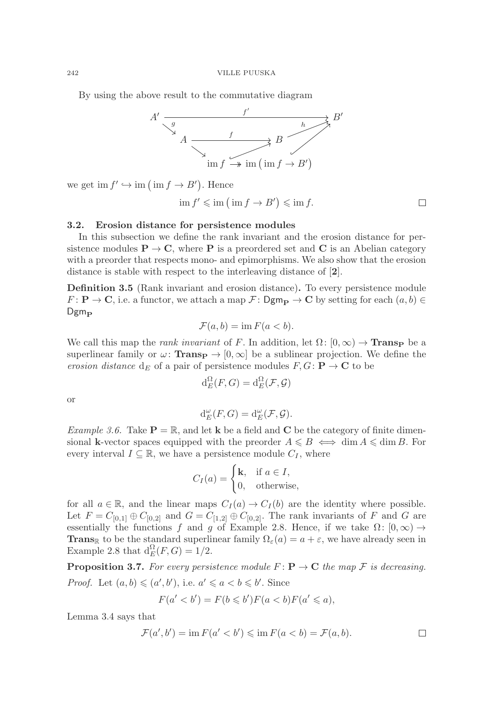By using the above result to the commutative diagram



we get  $\text{im } f' \hookrightarrow \text{im } (\text{im } f \to B')$ . Hence

$$
\text{im } f' \leqslant \text{im } \left( \text{ im } f \to B' \right) \leqslant \text{im } f. \qquad \qquad \Box
$$

## **3.2. Erosion distance for persistence modules**

In this subsection we define the rank invariant and the erosion distance for persistence modules  $P \rightarrow C$ , where P is a preordered set and C is an Abelian category with a preorder that respects mono- and epimorphisms. We also show that the erosion distance is stable with respect to the interleaving distance of [**2**].

**Definition 3.5** (Rank invariant and erosion distance)**.** To every persistence module  $F: \mathbf{P} \to \mathbf{C}$ , i.e. a functor, we attach a map  $\mathcal{F}: \mathsf{Dgm}_{\mathbf{P}} \to \mathbf{C}$  by setting for each  $(a, b) \in$ Dgm<sub>P</sub>

$$
\mathcal{F}(a,b) = \operatorname{im} F(a < b).
$$

We call this map the *rank invariant* of F. In addition, let  $\Omega: [0, \infty) \to \textbf{Transp}$  be a superlinear family or  $\omega$ : **Trans** $\mathbf{p} \to [0,\infty]$  be a sublinear projection. We define the erosion distance  $d_E$  of a pair of persistence modules  $F, G: \mathbf{P} \to \mathbf{C}$  to be

$$
\mathrm{d}_E^{\Omega}(F,G) = \mathrm{d}_E^{\Omega}(\mathcal{F}, \mathcal{G})
$$

or

$$
\mathrm{d}_E^{\omega}(F,G) = \mathrm{d}_E^{\omega}(\mathcal{F},\mathcal{G}).
$$

Example 3.6. Take  $P = \mathbb{R}$ , and let **k** be a field and **C** be the category of finite dimensional **k**-vector spaces equipped with the preorder  $A \leq B \iff \dim A \leq \dim B$ . For every interval  $I \subseteq \mathbb{R}$ , we have a persistence module  $C_I$ , where

$$
C_I(a) = \begin{cases} \mathbf{k}, & \text{if } a \in I, \\ 0, & \text{otherwise,} \end{cases}
$$

for all  $a \in \mathbb{R}$ , and the linear maps  $C_I(a) \to C_I(b)$  are the identity where possible. Let  $F = C_{[0,1]} \oplus C_{[0,2]}$  and  $G = C_{[1,2]} \oplus C_{[0,2]}$ . The rank invariants of F and G are essentially the functions f and g of Example 2.8. Hence, if we take  $\Omega: [0, \infty) \to$ **Trans**<sub>R</sub> to be the standard superlinear family  $\Omega_{\varepsilon}(a) = a + \varepsilon$ , we have already seen in Example 2.8 that  $d_E^{\Omega}(F, G) = 1/2$ .

**Proposition 3.7.** For every persistence module  $F: \mathbf{P} \to \mathbf{C}$  the map  $\mathcal F$  is decreasing. *Proof.* Let  $(a, b) \leqslant (a', b')$ , i.e.  $a' \leqslant a < b \leqslant b'$ . Since

$$
F(a' < b') = F(b \leqslant b')F(a < b)F(a' \leqslant a),
$$

Lemma 3.4 says that

$$
\mathcal{F}(a',b') = \operatorname{im} F(a' < b') \leq \operatorname{im} F(a < b) = \mathcal{F}(a,b). \qquad \qquad \Box
$$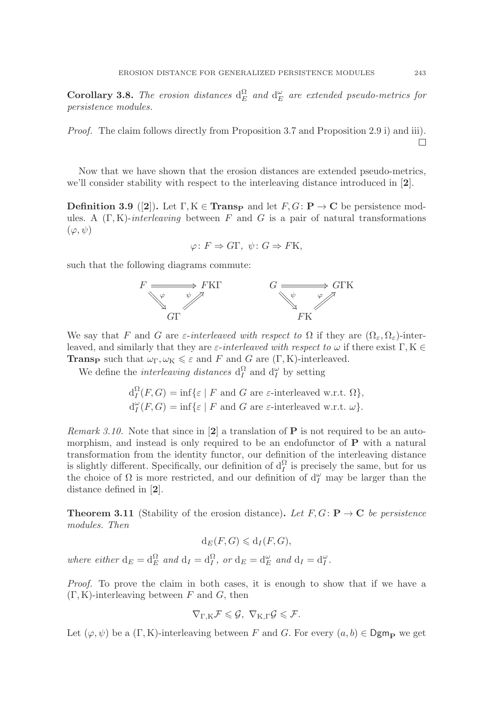**Corollary 3.8.** The erosion distances  $d_E^{\Omega}$  and  $d_E^{\omega}$  are extended pseudo-metrics for persistence modules.

Proof. The claim follows directly from Proposition 3.7 and Proposition 2.9 i) and iii).  $\Box$ 

Now that we have shown that the erosion distances are extended pseudo-metrics, we'll consider stability with respect to the interleaving distance introduced in [**2**].

**Definition 3.9** ([2]). Let  $\Gamma, K \in \mathbf{Transp}$  and let  $F, G: \mathbf{P} \to \mathbf{C}$  be persistence modules. A  $(\Gamma, K)$ -interleaving between F and G is a pair of natural transformations  $(\varphi, \psi)$ 

$$
\varphi \colon F \Rightarrow G\Gamma, \ \psi \colon G \Rightarrow F\mathcal{K},
$$

such that the following diagrams commute:



We say that F and G are  $\varepsilon$ -interleaved with respect to  $\Omega$  if they are  $(\Omega_{\varepsilon}, \Omega_{\varepsilon})$ -interleaved, and similarly that they are  $\varepsilon$ -interleaved with respect to  $\omega$  if there exist  $\Gamma, K \in$ **Trans<sub>P</sub>** such that  $\omega_{\Gamma}, \omega_{\text{K}} \leq \varepsilon$  and F and G are  $(\Gamma, \text{K})$ -interleaved.

We define the *interleaving distances*  $d_I^{\Omega}$  and  $d_I^{\omega}$  by setting

$$
d_I^{\Omega}(F, G) = \inf \{ \varepsilon \mid F \text{ and } G \text{ are } \varepsilon \text{-interleaved w.r.t. } \Omega \},
$$
  

$$
d_I^{\omega}(F, G) = \inf \{ \varepsilon \mid F \text{ and } G \text{ are } \varepsilon \text{-interleaved w.r.t. } \omega \}.
$$

Remark 3.10. Note that since in [**2**] a translation of **P** is not required to be an automorphism, and instead is only required to be an endofunctor of **P** with a natural transformation from the identity functor, our definition of the interleaving distance is slightly different. Specifically, our definition of  $d_I^{\Omega}$  is precisely the same, but for us<br>the choice of Q is more restricted, and our definition of  $d^{\omega}$  may be larger than the the choice of  $\Omega$  is more restricted, and our definition of  $d_I^{\omega}$  may be larger than the distance defined in [2] distance defined in [**2**].

**Theorem 3.11** (Stability of the erosion distance). Let  $F, G: \mathbf{P} \to \mathbf{C}$  be persistence modules. Then

$$
d_E(F, G) \leq d_I(F, G),
$$

where either  $d_E = d_E^{\Omega}$  and  $d_I = d_I^{\Omega}$ , or  $d_E = d_E^{\omega}$  and  $d_I = d_I^{\omega}$ .

Proof. To prove the claim in both cases, it is enough to show that if we have a  $(\Gamma, K)$ -interleaving between F and G, then

$$
\nabla_{\Gamma,K} \mathcal{F} \leqslant \mathcal{G}, \ \nabla_{K,\Gamma} \mathcal{G} \leqslant \mathcal{F}.
$$

Let  $(\varphi, \psi)$  be a  $(\Gamma, K)$ -interleaving between F and G. For every  $(a, b) \in \mathsf{Dgm}_{\mathbf{P}}$  we get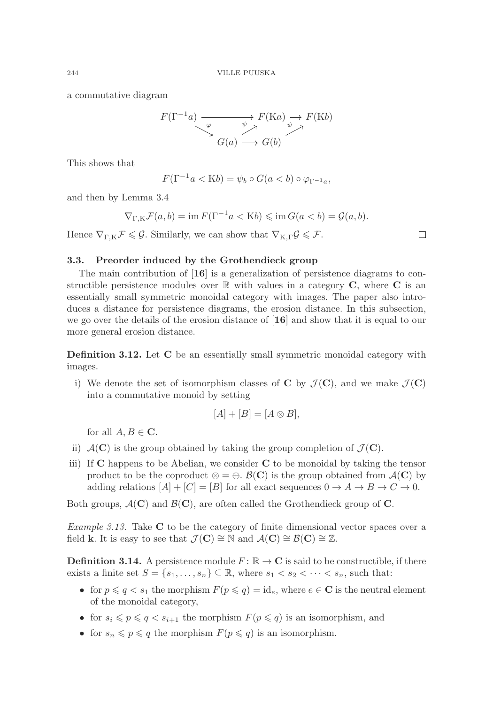a commutative diagram

$$
F(\Gamma^{-1}a) \xrightarrow{\varphi} F(\text{Ka}) \xrightarrow{\psi} F(\text{K}b)
$$
  

$$
G(a) \longrightarrow G(b)
$$

This shows that

$$
F(\Gamma^{-1}a < \mathbf{K}b) = \psi_b \circ G(a < b) \circ \varphi_{\Gamma^{-1}a},
$$

and then by Lemma 3.4

$$
\nabla_{\Gamma,\mathrm{K}} \mathcal{F}(a,b) = \mathrm{im}\, F(\Gamma^{-1}a < \mathrm{K}b) \leq \mathrm{im}\, G(a < b) = \mathcal{G}(a,b).
$$

Hence  $\nabla_{\Gamma,K} \mathcal{F} \leq \mathcal{G}$ . Similarly, we can show that  $\nabla_{K,\Gamma} \mathcal{G} \leq \mathcal{F}$ .

 $\Box$ 

## **3.3. Preorder induced by the Grothendieck group**

The main contribution of [**16**] is a generalization of persistence diagrams to constructible persistence modules over  $\mathbb{R}$  with values in a category  $\mathbf{C}$ , where  $\mathbf{C}$  is an essentially small symmetric monoidal category with images. The paper also introduces a distance for persistence diagrams, the erosion distance. In this subsection, we go over the details of the erosion distance of [**16**] and show that it is equal to our more general erosion distance.

**Definition 3.12.** Let **C** be an essentially small symmetric monoidal category with images.

i) We denote the set of isomorphism classes of **C** by  $\mathcal{J}(\mathbf{C})$ , and we make  $\mathcal{J}(\mathbf{C})$ into a commutative monoid by setting

$$
[A] + [B] = [A \otimes B],
$$

for all  $A, B \in \mathbb{C}$ .

- ii)  $\mathcal{A}(\mathbf{C})$  is the group obtained by taking the group completion of  $\mathcal{J}(\mathbf{C})$ .
- iii) If **C** happens to be Abelian, we consider **C** to be monoidal by taking the tensor product to be the coproduct  $\otimes = \oplus$ .  $\mathcal{B}(\mathbf{C})$  is the group obtained from  $\mathcal{A}(\mathbf{C})$  by adding relations  $[A]+[C]=[B]$  for all exact sequences  $0 \to A \to B \to C \to 0$ .

Both groups,  $\mathcal{A}(\mathbf{C})$  and  $\mathcal{B}(\mathbf{C})$ , are often called the Grothendieck group of **C**.

Example 3.13. Take **C** to be the category of finite dimensional vector spaces over a field **k**. It is easy to see that  $\mathcal{J}(\mathbf{C}) \cong \mathbb{N}$  and  $\mathcal{A}(\mathbf{C}) \cong \mathcal{B}(\mathbf{C}) \cong \mathbb{Z}$ .

**Definition 3.14.** A persistence module  $F: \mathbb{R} \to \mathbb{C}$  is said to be constructible, if there exists a finite set  $S = \{s_1, \ldots, s_n\} \subseteq \mathbb{R}$ , where  $s_1 < s_2 < \cdots < s_n$ , such that:

- for  $p \leqslant q \leq s_1$  the morphism  $F(p \leqslant q) = id_e$ , where  $e \in \mathbb{C}$  is the neutral element of the monoidal estacew. of the monoidal category,
- for  $s_i \leqslant p \leqslant q < s_{i+1}$  the morphism  $F(p \leqslant q)$  is an isomorphism, and
- for  $s_n \leqslant p \leqslant q$  the morphism  $F(p \leqslant q)$  is an isomorphism.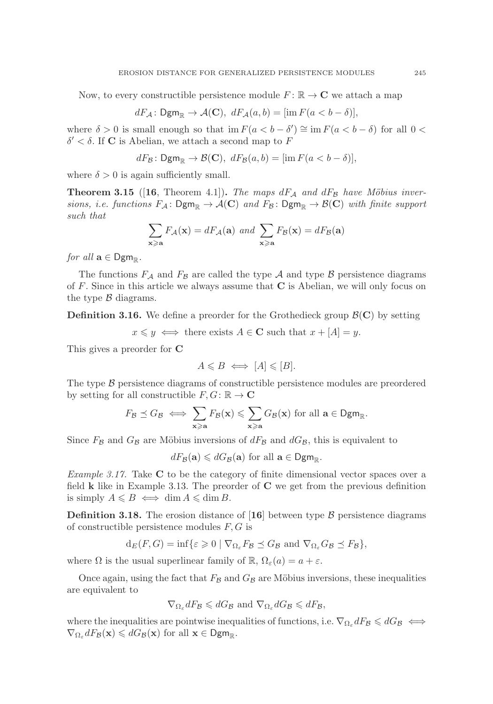Now, to every constructible persistence module  $F: \mathbb{R} \to \mathbb{C}$  we attach a map

$$
dF_{\mathcal{A}}: \mathsf{Dgm}_{\mathbb{R}} \to \mathcal{A}(\mathbf{C}), \; dF_{\mathcal{A}}(a, b) = [\text{im } F(a < b - \delta)],
$$

where  $\delta > 0$  is small enough so that im  $F(a < b - \delta') \cong \text{im } F(a < b - \delta)$  for all  $0 <$  $\delta' < \delta$ . If **C** is Abelian, we attach a second map to F

$$
dF_{\mathcal{B}}\colon \mathsf{Dgm}_{\mathbb{R}} \to \mathcal{B}(\mathbf{C}), \; dF_{\mathcal{B}}(a,b) = [\text{im } F(a < b - \delta)],
$$

where  $\delta > 0$  is again sufficiently small.

**Theorem 3.15** ([16, Theorem 4.1]). The maps  $dF_A$  and  $dF_B$  have Möbius inversions, i.e. functions  $F_A: \text{Dgm}_{\mathbb{R}} \to A(\mathbb{C})$  and  $F_B: \text{Dgm}_{\mathbb{R}} \to B(\mathbb{C})$  with finite support such that

$$
\sum_{\mathbf{x}\geq \mathbf{a}} F_{\mathcal{A}}(\mathbf{x}) = dF_{\mathcal{A}}(\mathbf{a}) \text{ and } \sum_{\mathbf{x}\geq \mathbf{a}} F_{\mathcal{B}}(\mathbf{x}) = dF_{\mathcal{B}}(\mathbf{a})
$$

for all  $\mathbf{a} \in \mathsf{Dgm}_{\mathbb{R}}$ .

The functions  $F_A$  and  $F_B$  are called the type A and type B persistence diagrams of F. Since in this article we always assume that **C** is Abelian, we will only focus on the type  $\beta$  diagrams.

**Definition 3.16.** We define a preorder for the Grothedieck group  $\mathcal{B}(\mathbf{C})$  by setting

 $x \leq y \iff$  there exists  $A \in \mathbf{C}$  such that  $x + [A] = y$ .

This gives a preorder for **C**

$$
A \leq B \iff [A] \leq [B].
$$

The type  $\beta$  persistence diagrams of constructible persistence modules are preordered by setting for all constructible  $F, G: \mathbb{R} \to \mathbb{C}$ 

$$
F_{\mathcal{B}} \preceq G_{\mathcal{B}} \iff \sum_{\mathbf{x} \geq \mathbf{a}} F_{\mathcal{B}}(\mathbf{x}) \leqslant \sum_{\mathbf{x} \geqslant \mathbf{a}} G_{\mathcal{B}}(\mathbf{x}) \text{ for all } \mathbf{a} \in \mathsf{Dgm}_{\mathbb{R}}.
$$

Since  $F_{\mathcal{B}}$  and  $G_{\mathcal{B}}$  are Möbius inversions of  $dF_{\mathcal{B}}$  and  $dG_{\mathcal{B}}$ , this is equivalent to

 $dF_{\mathcal{B}}(\mathbf{a}) \leq dG_{\mathcal{B}}(\mathbf{a})$  for all  $\mathbf{a} \in \mathsf{Dgm}_{\mathbb{R}}$ .

Example 3.17. Take **C** to be the category of finite dimensional vector spaces over a field **k** like in Example 3.13. The preorder of **C** we get from the previous definition is simply  $A \leq B \iff \dim A \leq \dim B$ .

**Definition 3.18.** The erosion distance of  $\begin{bmatrix} 16 \end{bmatrix}$  between type B persistence diagrams of constructible persistence modules  $F, G$  is

$$
d_E(F, G) = \inf \{ \varepsilon \ge 0 \mid \nabla_{\Omega_\varepsilon} F_{\mathcal{B}} \preceq G_{\mathcal{B}} \text{ and } \nabla_{\Omega_\varepsilon} G_{\mathcal{B}} \preceq F_{\mathcal{B}} \},
$$

where  $\Omega$  is the usual superlinear family of  $\mathbb{R}$ ,  $\Omega_{\varepsilon}(a) = a + \varepsilon$ .

Once again, using the fact that  $F_B$  and  $G_B$  are Möbius inversions, these inequalities are equivalent to

$$
\nabla_{\Omega_{\varepsilon}} dF_{\mathcal{B}} \leq dG_{\mathcal{B}}
$$
 and  $\nabla_{\Omega_{\varepsilon}} dG_{\mathcal{B}} \leq dF_{\mathcal{B}}$ ,

where the inequalities are pointwise inequalities of functions, i.e.  $\nabla_{\Omega_{\varepsilon}} dF_{\mathcal{B}} \leq dG_{\mathcal{B}} \iff$  $\nabla_{\Omega_{\varepsilon}} dF_{\mathcal{B}}(\mathbf{x}) \leq dG_{\mathcal{B}}(\mathbf{x})$  for all  $\mathbf{x} \in \mathsf{Dgm}_{\mathbb{R}}$ .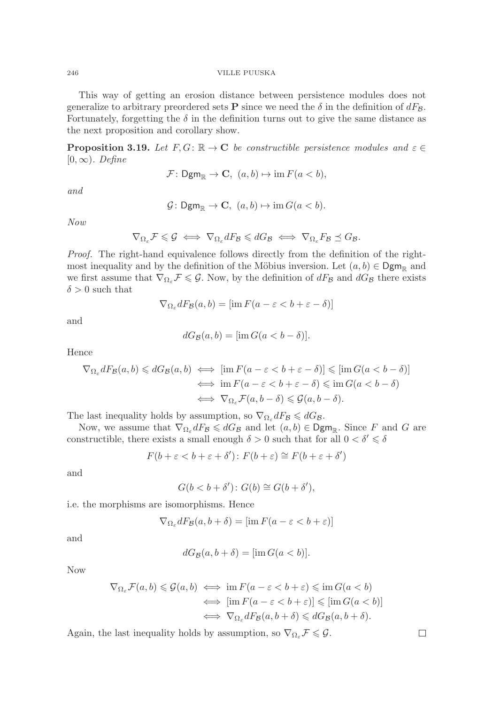This way of getting an erosion distance between persistence modules does not generalize to arbitrary preordered sets **P** since we need the  $\delta$  in the definition of  $dF_B$ . Fortunately, forgetting the  $\delta$  in the definition turns out to give the same distance as the next proposition and corollary show.

**Proposition 3.19.** Let  $F, G: \mathbb{R} \to \mathbb{C}$  be constructible persistence modules and  $\varepsilon \in$  $[0, \infty)$ . Define

$$
\mathcal{F} \colon \mathsf{Dgm}_{\mathbb{R}} \to \mathbf{C}, \ (a, b) \mapsto \mathrm{im}\, F(a < b),
$$

and

 $\mathcal{G} \colon \mathsf{Dgm}_{\mathbb{R}} \to \mathbf{C}, \ (a, b) \mapsto \text{im } G(a < b).$ 

Now

$$
\nabla_{\Omega_{\varepsilon}} \mathcal{F} \leqslant \mathcal{G} \iff \nabla_{\Omega_{\varepsilon}} dF_{\mathcal{B}} \leqslant dG_{\mathcal{B}} \iff \nabla_{\Omega_{\varepsilon}} F_{\mathcal{B}} \preceq G_{\mathcal{B}}.
$$

Proof. The right-hand equivalence follows directly from the definition of the rightmost inequality and by the definition of the Möbius inversion. Let  $(a, b) \in \mathsf{Dgm}_{\mathbb{R}}$  and we first assume that  $\nabla_{\Omega_{\varepsilon}} \mathcal{F} \leq \mathcal{G}$ . Now, by the definition of  $dF_{\mathcal{B}}$  and  $dG_{\mathcal{B}}$  there exists  $\delta > 0$  such that

$$
\nabla_{\Omega_{\varepsilon}} dF_{\mathcal{B}}(a, b) = [\text{im } F(a - \varepsilon < b + \varepsilon - \delta)]
$$

and

$$
dG_{\mathcal{B}}(a,b) = [\text{im } G(a < b - \delta)].
$$

Hence

$$
\nabla_{\Omega_{\varepsilon}} dF_{\mathcal{B}}(a, b) \leq dG_{\mathcal{B}}(a, b) \iff \left[ \text{im } F(a - \varepsilon < b + \varepsilon - \delta) \right] \leqslant \left[ \text{im } G(a < b - \delta) \right]
$$
\n
$$
\iff \text{im } F(a - \varepsilon < b + \varepsilon - \delta) \leqslant \text{im } G(a < b - \delta)
$$
\n
$$
\iff \nabla_{\Omega_{\varepsilon}} \mathcal{F}(a, b - \delta) \leqslant \mathcal{G}(a, b - \delta).
$$

The last inequality holds by assumption, so  $\nabla_{\Omega_{\varepsilon}} dF_{\mathcal{B}} \leq dG_{\mathcal{B}}$ .

Now, we assume that  $\nabla_{\Omega_{\varepsilon}} dF_B \leq dG_B$  and let  $(a, b) \in \mathsf{Dgm}_{\mathbb{R}}$ . Since F and G are<br>permetible there exists a small enough  $\delta > 0$  such that for all  $0 < \delta' < \delta$ . constructible, there exists a small enough  $\delta > 0$  such that for all  $0 < \delta' \leq \delta$ 

$$
F(b + \varepsilon < b + \varepsilon + \delta') \colon F(b + \varepsilon) \cong F(b + \varepsilon + \delta')
$$

and

$$
G(b < b + \delta') \colon G(b) \cong G(b + \delta'),
$$

i.e. the morphisms are isomorphisms. Hence

$$
\nabla_{\Omega_{\varepsilon}} dF_{\mathcal{B}}(a, b + \delta) = [\text{im } F(a - \varepsilon < b + \varepsilon)]
$$

and

$$
dG_{\mathcal{B}}(a, b+\delta) = [\text{im } G(a
$$

Now

$$
\nabla_{\Omega_{\varepsilon}} \mathcal{F}(a, b) \leq \mathcal{G}(a, b) \iff \text{im } F(a - \varepsilon < b + \varepsilon) \leq \text{im } G(a < b)
$$
\n
$$
\iff \left[ \text{im } F(a - \varepsilon < b + \varepsilon) \right] \leq \left[ \text{im } G(a < b) \right]
$$
\n
$$
\iff \nabla_{\Omega_{\varepsilon}} dF_{\mathcal{B}}(a, b + \delta) \leq dG_{\mathcal{B}}(a, b + \delta).
$$

Again, the last inequality holds by assumption, so  $\nabla_{\Omega_{\varepsilon}} \mathcal{F} \leq \mathcal{G}$ .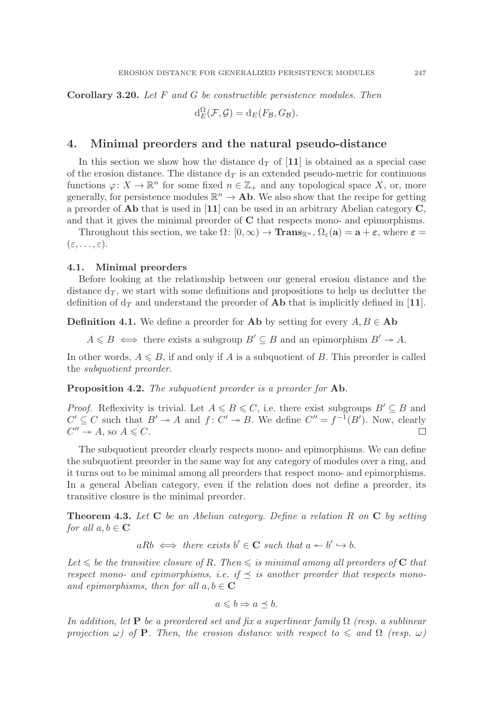**Corollary 3.20.** Let F and G be constructible persistence modules. Then

$$
\mathrm{d}_{E}^{\Omega}(\mathcal{F}, \mathcal{G}) = \mathrm{d}_{E}(F_{\mathcal{B}}, G_{\mathcal{B}}).
$$

## **4. Minimal preorders and the natural pseudo-distance**

In this section we show how the distance  $d<sub>T</sub>$  of [11] is obtained as a special case of the erosion distance. The distance  $d<sub>T</sub>$  is an extended pseudo-metric for continuous functions  $\varphi: X \to \mathbb{R}^n$  for some fixed  $n \in \mathbb{Z}_+$  and any topological space X, or, more generally, for persistence modules  $\mathbb{R}^n \to A\mathbf{b}$ . We also show that the recipe for getting a preorder of **Ab** that is used in [**11**] can be used in an arbitrary Abelian category **C**, and that it gives the minimal preorder of **C** that respects mono- and epimorphisms.

Throughout this section, we take  $\Omega: [0, \infty) \to \mathbf{Trans}_{\mathbb{R}^n}, \Omega_{\varepsilon}(\mathbf{a}) = \mathbf{a} + \varepsilon$ , where  $\varepsilon =$  $(\varepsilon, \ldots, \varepsilon).$ 

### **4.1. Minimal preorders**

Before looking at the relationship between our general erosion distance and the distance  $d_T$ , we start with some definitions and propositions to help us declutter the definition of  $d<sub>T</sub>$  and understand the preorder of **Ab** that is implicitly defined in [11].

**Definition 4.1.** We define a preorder for **Ab** by setting for every  $A, B \in$  **Ab** 

 $A \leq B \iff$  there exists a subgroup  $B' \subseteq B$  and an epimorphism  $B' \to A$ .

In other words,  $A \leq B$ , if and only if A is a subquotient of B. This preorder is called the subquotient preorder.

**Proposition 4.2.** The subquotient preorder is a preorder for **Ab**.

*Proof.* Reflexivity is trivial. Let  $A \leq B \leq C$ , i.e. there exist subgroups  $B' \subseteq B$  and  $C' \subseteq C$  such that  $B' \to A$  and  $f: C' \to B$ . We define  $C'' = f^{-1}(B')$ . Now, clearly  $C'' \twoheadrightarrow A$ , so  $A \leq C$ .  $\Box$ 

The subquotient preorder clearly respects mono- and epimorphisms. We can define the subquotient preorder in the same way for any category of modules over a ring, and it turns out to be minimal among all preorders that respect mono- and epimorphisms. In a general Abelian category, even if the relation does not define a preorder, its transitive closure is the minimal preorder.

**Theorem 4.3.** Let **C** be an Abelian category. Define a relation R on **C** by setting for all  $a, b \in \mathbb{C}$ 

$$
aRb \iff there exists b' \in \mathbf{C} such that a \leftarrow b' \hookrightarrow b.
$$

Let  $\leq$  be the transitive closure of R. Then  $\leq$  is minimal among all preorders of **C** that respect mono- and epimorphisms, i.e. if  $\preceq$  is another preorder that respects monoand epimorphisms, then for all  $a, b \in \mathbb{C}$ 

$$
a \leqslant b \Rightarrow a \preceq b.
$$

In addition, let **P** be a preordered set and fix a superlinear family  $\Omega$  (resp. a sublinear projection  $\omega$ ) of **P**. Then, the erosion distance with respect to  $\leq$  and  $\Omega$  (resp.  $\omega$ )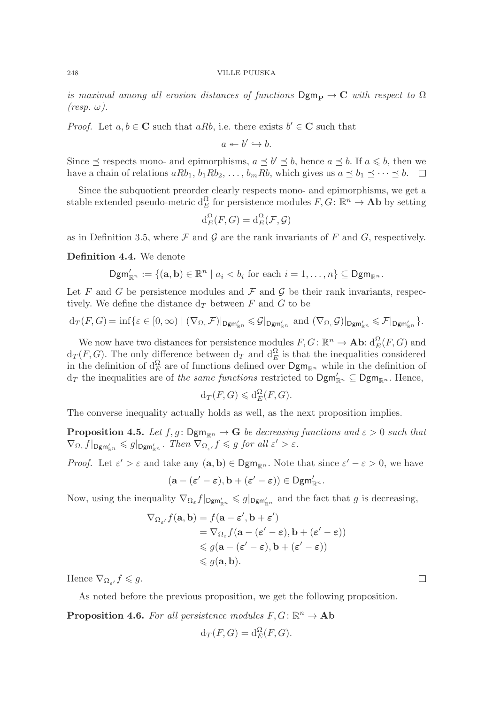is maximal among all erosion distances of functions  $Dgm_P \rightarrow C$  with respect to  $\Omega$  $(resp. \omega).$ 

*Proof.* Let  $a, b \in \mathbb{C}$  such that  $aRb$ , i.e. there exists  $b' \in \mathbb{C}$  such that

$$
a \leftarrow b' \hookrightarrow b.
$$

Since  $\leq$  respects mono- and epimorphisms,  $a \leq b' \leq b$ , hence  $a \leq b$ . If  $a \leq b$ , then we have a chain of relations  $aRb_1$ ,  $b_1Rb_2$ , ...,  $b_mRb$ , which gives us  $a \leq b_1 \leq \cdots \leq b$ .  $\Box$ 

Since the subquotient preorder clearly respects mono- and epimorphisms, we get a stable extended pseudo-metric  $d_E^{\Omega}$  for persistence modules  $F, G \colon \mathbb{R}^n \to \mathbf{Ab}$  by setting

$$
\mathrm{d}_{E}^{\Omega}(F,G)=\mathrm{d}_{E}^{\Omega}(\mathcal{F},\mathcal{G})
$$

as in Definition 3.5, where  $\mathcal F$  and  $\mathcal G$  are the rank invariants of  $F$  and  $G$ , respectively.

**Definition 4.4.** We denote

$$
\mathsf{Dgm}_{\mathbb{R}^n}^{\prime} := \{ (\mathbf{a}, \mathbf{b}) \in \mathbb{R}^n \mid a_i < b_i \text{ for each } i = 1, \ldots, n \} \subseteq \mathsf{Dgm}_{\mathbb{R}^n}.
$$

Let F and G be persistence modules and  $\mathcal F$  and  $\mathcal G$  be their rank invariants, respectively. We define the distance  $d_T$  between F and G to be

$$
\mathrm{d}_{T}(F,G)=\inf\{\varepsilon\in[0,\infty)\mid (\nabla_{\Omega_{\varepsilon}}F)|_{\mathsf{Dgm}_{\mathbb{R}^{n}}}\leqslant \mathcal{G}|_{\mathsf{Dgm}_{\mathbb{R}^{n}}'}\text{ and }(\nabla_{\Omega_{\varepsilon}}\mathcal{G})|_{\mathsf{Dgm}_{\mathbb{R}^{n}}'}\leqslant \mathcal{F}|_{\mathsf{Dgm}_{\mathbb{R}^{n}}'}\}.
$$

We now have two distances for persistence modules  $F, G \colon \mathbb{R}^n \to \mathbf{Ab} \colon d_E^{\Omega}(F, G)$  and  $(F, G)$ . The only difference between dr. and  $d^{\Omega}$  is that the inequalities considered  $d_T(F, G)$ . The only difference between  $d_T$  and  $d_E^{\Omega}$  is that the inequalities considered<br>in the definition of  $d^{\Omega}$  are of functions defined over  $\mathsf{Dgm}$  , while in the definition of in the definition of  $d_E^{\Omega}$  are of functions defined over  $\mathsf{Dgm}_{\mathbb{R}^n}$  while in the definition of  $d_E$  the inequalities are of the same functions restricted to  $\mathsf{Dom}' \subset \mathsf{Dom}$ . Hence  $d_T$  the inequalities are of the same functions restricted to  $\text{Dgm}_{\mathbb{R}^n} \subseteq \text{Dgm}_{\mathbb{R}^n}$ . Hence,

$$
\mathrm{d}_T(F,G) \leqslant \mathrm{d}_E^{\Omega}(F,G).
$$

The converse inequality actually holds as well, as the next proposition implies.

**Proposition 4.5.** Let  $f, g: \text{Dgm}_{\mathbb{R}^n} \to \mathbf{G}$  be decreasing functions and  $\varepsilon > 0$  such that  $\nabla_{\Omega_{\varepsilon}} f|_{\mathsf{Dgm}'_{\mathbb{R}^n}} \leq g|_{\mathsf{Dgm}'_{\mathbb{R}^n}}$ . Then  $\nabla_{\Omega_{\varepsilon'}} f \leq g$  for all  $\varepsilon' > \varepsilon$ .

*Proof.* Let  $\varepsilon' > \varepsilon$  and take any  $(\mathbf{a}, \mathbf{b}) \in \mathsf{Dgm}_{\mathbb{R}^n}$ . Note that since  $\varepsilon' - \varepsilon > 0$ , we have

$$
(\mathbf{a}-(\varepsilon'-\varepsilon),\mathbf{b}+(\varepsilon'-\varepsilon))\in \mathsf{Dgm}_{\mathbb{R}^n}.
$$

Now, using the inequality  $\nabla_{\Omega_{\varepsilon}} f|_{\mathsf{Dgm}'_{\mathbb{R}^n}} \leq g|_{\mathsf{Dgm}'_{\mathbb{R}^n}}$  and the fact that g is decreasing,

$$
\nabla_{\Omega_{\varepsilon'}} f(\mathbf{a}, \mathbf{b}) = f(\mathbf{a} - \varepsilon', \mathbf{b} + \varepsilon')
$$
  
=  $\nabla_{\Omega_{\varepsilon}} f(\mathbf{a} - (\varepsilon' - \varepsilon), \mathbf{b} + (\varepsilon' - \varepsilon))$   
 $\leq g(\mathbf{a} - (\varepsilon' - \varepsilon), \mathbf{b} + (\varepsilon' - \varepsilon))$   
 $\leq g(\mathbf{a}, \mathbf{b}).$ 

Hence  $\nabla_{\Omega_{\varepsilon'}} f \leqslant g.$ 

As noted before the previous proposition, we get the following proposition.

**Proposition 4.6.** For all persistence modules  $F, G: \mathbb{R}^n \to \mathbf{Ab}$ 

$$
\mathrm{d}_T(F,G) = \mathrm{d}_E^{\Omega}(F,G).
$$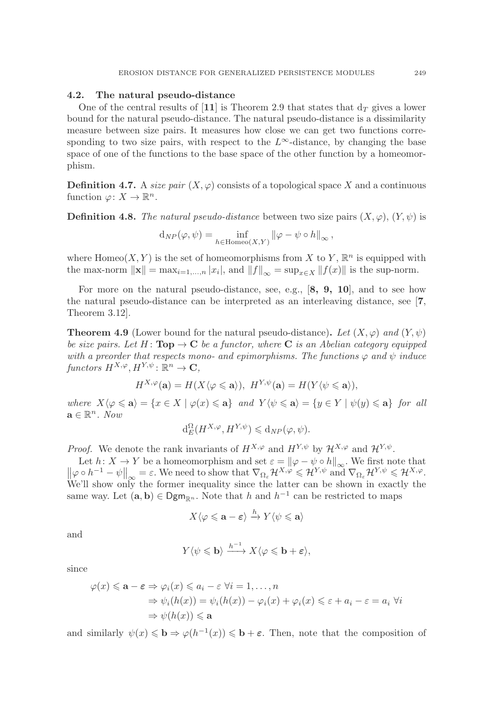### **4.2. The natural pseudo-distance**

One of the central results of [11] is Theorem 2.9 that states that  $d<sub>T</sub>$  gives a lower bound for the natural pseudo-distance. The natural pseudo-distance is a dissimilarity measure between size pairs. It measures how close we can get two functions corresponding to two size pairs, with respect to the  $L^{\infty}$ -distance, by changing the base space of one of the functions to the base space of the other function by a homeomorphism.

**Definition 4.7.** A size pair  $(X, \varphi)$  consists of a topological space X and a continuous function  $\varphi: X \to \mathbb{R}^n$ .

**Definition 4.8.** The natural pseudo-distance between two size pairs  $(X, \varphi)$ ,  $(Y, \psi)$  is

$$
d_{NP}(\varphi, \psi) = \inf_{h \in \text{Homeo}(X, Y)} ||\varphi - \psi \circ h||_{\infty},
$$

where Homeo(X, Y) is the set of homeomorphisms from X to Y,  $\mathbb{R}^n$  is equipped with the max-norm  $\|\mathbf{x}\| = \max_{i=1,\dots,n} |x_i|$ , and  $\|f\|_{\infty} = \sup_{x \in X} \|f(x)\|$  is the sup-norm.

For more on the natural pseudo-distance, see, e.g., [**8, 9, 10**], and to see how the natural pseudo-distance can be interpreted as an interleaving distance, see [**7**, Theorem 3.12].

**Theorem 4.9** (Lower bound for the natural pseudo-distance). Let  $(X, \varphi)$  and  $(Y, \psi)$ be size pairs. Let H :  $\text{Top} \rightarrow \text{C}$  be a functor, where **C** is an Abelian category equipped with a preorder that respects mono- and epimorphisms. The functions  $\varphi$  and  $\psi$  induce functors  $H^{X,\varphi}, H^{Y,\psi} : \mathbb{R}^n \to \mathbb{C}$ ,

$$
H^{X,\varphi}(\mathbf{a})=H(X\langle \varphi \leqslant \mathbf{a} \rangle),\ H^{Y,\psi}(\mathbf{a})=H(Y\langle \psi \leqslant \mathbf{a} \rangle),
$$

 $where \ X\langle \varphi \leqslant \mathbf{a} \rangle = \{x \in X \mid \varphi(x) \leqslant \mathbf{a}\} \ and \ Y\langle \psi \leqslant \mathbf{a} \rangle = \{y \in Y \mid \psi(y) \leqslant \mathbf{a}\} \ for \ all$  $\mathbf{a} \in \mathbb{R}^n$ . Now

$$
\mathrm{d}^{\Omega}_E(H^{X,\varphi},H^{Y,\psi})\leqslant \mathrm{d}_{NP}(\varphi,\psi).
$$

*Proof.* We denote the rank invariants of  $H^{X,\varphi}$  and  $H^{Y,\psi}$  by  $\mathcal{H}^{X,\varphi}$  and  $\mathcal{H}^{Y,\psi}$ .

Let  $h: X \to Y$  be a homeomorphism and set  $\varepsilon = ||\varphi - \psi \circ h||_{\infty}$ . We first note that  $||\varphi \circ h^{-1} - \psi||_{\infty} = \varepsilon$ . We need to show that  $\nabla_{\Omega_{\varepsilon}} \mathcal{H}^{X,\varphi} \leq \mathcal{H}^{Y,\psi}$  and  $\nabla_{\Omega_{\varepsilon}} \mathcal{H}^{Y,\psi} \leq \mathcal{H}^{X,\varphi}$ . We'll show only the former inequality since the latter can be shown in exactly the same way. Let  $(\mathbf{a}, \mathbf{b}) \in \mathsf{Dgm}_{\mathbb{R}^n}$ . Note that h and  $h^{-1}$  can be restricted to maps

$$
X\langle \varphi \leqslant \mathbf{a} - \varepsilon \rangle \xrightarrow{h} Y\langle \psi \leqslant \mathbf{a} \rangle
$$

and

$$
Y\langle\psi\leqslant \mathbf{b}\rangle\stackrel{h^{-1}}{\longrightarrow}X\langle\varphi\leqslant \mathbf{b}+\varepsilon\rangle,
$$

since

$$
\varphi(x) \le \mathbf{a} - \varepsilon \Rightarrow \varphi_i(x) \le a_i - \varepsilon \ \forall i = 1, ..., n
$$
  
\n
$$
\Rightarrow \psi_i(h(x)) = \psi_i(h(x)) - \varphi_i(x) + \varphi_i(x) \le \varepsilon + a_i - \varepsilon = a_i \ \forall i
$$
  
\n
$$
\Rightarrow \psi(h(x)) \le \mathbf{a}
$$

and similarly  $\psi(x) \leq \mathbf{b} \Rightarrow \varphi(h^{-1}(x)) \leq \mathbf{b} + \varepsilon$ . Then, note that the composition of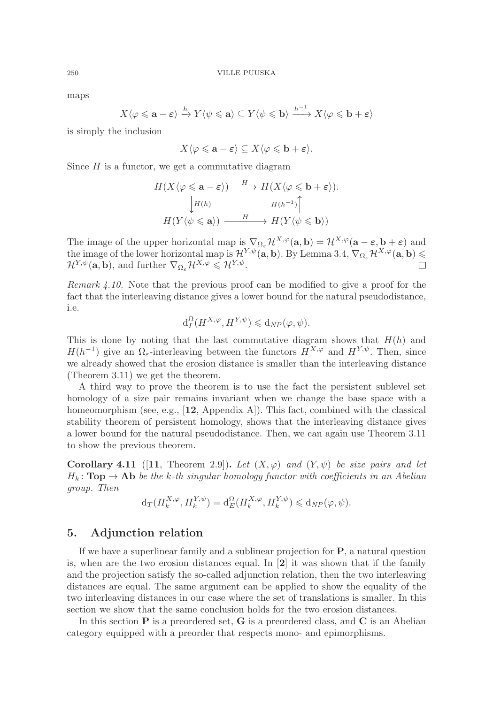maps

$$
X\langle \varphi \leqslant \mathbf{a} - \varepsilon \rangle \xrightarrow{h} Y\langle \psi \leqslant \mathbf{a} \rangle \subseteq Y\langle \psi \leqslant \mathbf{b} \rangle \xrightarrow{h^{-1}} X\langle \varphi \leqslant \mathbf{b} + \varepsilon \rangle
$$

is simply the inclusion

$$
X\langle\varphi\leqslant\mathbf{a}-\boldsymbol{\varepsilon}\rangle\subseteq X\langle\varphi\leqslant\mathbf{b}+\boldsymbol{\varepsilon}\rangle.
$$

Since  $H$  is a functor, we get a commutative diagram

$$
H(X\langle \varphi \leq \mathbf{a} - \varepsilon \rangle) \xrightarrow{H} H(X\langle \varphi \leq \mathbf{b} + \varepsilon \rangle).
$$
  
\n
$$
\downarrow H(h) \qquad H(h^{-1}) \uparrow
$$
  
\n
$$
H(Y\langle \psi \leq \mathbf{a} \rangle) \xrightarrow{H} H(Y\langle \psi \leq \mathbf{b} \rangle)
$$

The image of the upper horizontal map is  $\nabla_{\Omega} \mathcal{H}^{X,\varphi}(\mathbf{a},\mathbf{b}) = \mathcal{H}^{X,\varphi}(\mathbf{a}-\varepsilon,\mathbf{b}+\varepsilon)$  and the image of the lower horizontal map is  $\mathcal{H}^{Y,\psi}(\mathbf{a},\mathbf{b})$ . By Lemma 3.4,  $\nabla_{\Omega_{\varepsilon}}\mathcal{H}^{X,\varphi}(\mathbf{a},\mathbf{b}) \leq$  $\mathcal{H}^{Y,\psi}(\mathbf{a},\mathbf{b})$ , and further  $\nabla_{\Omega_{\varepsilon}}\mathcal{H}^{X,\varphi}\leqslant\mathcal{H}^{Y,\psi}$ .

Remark  $\angle 4.10$ . Note that the previous proof can be modified to give a proof for the fact that the interleaving distance gives a lower bound for the natural pseudodistance, i.e.

$$
\mathrm{d}_I^{\Omega}(H^{X,\varphi},H^{Y,\psi}) \leq \mathrm{d}_{NP}(\varphi,\psi).
$$

This is done by noting that the last commutative diagram shows that  $H(h)$  and  $H(h^{-1})$  give an  $\Omega_{\varepsilon}$ -interleaving between the functors  $H^{X,\varphi}$  and  $H^{Y,\psi}$ . Then, since we already showed that the erosion distance is smaller than the interleaving distance (Theorem 3.11) we get the theorem.

A third way to prove the theorem is to use the fact the persistent sublevel set homology of a size pair remains invariant when we change the base space with a homeomorphism (see, e.g., [**12**, Appendix A]). This fact, combined with the classical stability theorem of persistent homology, shows that the interleaving distance gives a lower bound for the natural pseudodistance. Then, we can again use Theorem 3.11 to show the previous theorem.

**Corollary 4.11** ([11, Theorem 2.9]). Let  $(X, \varphi)$  and  $(Y, \psi)$  be size pairs and let  $H_k$ : **Top**  $\rightarrow$  **Ab** be the k-th singular homology functor with coefficients in an Abelian group. Then

$$
\mathrm{d}_{T}(H_{k}^{X,\varphi},H_{k}^{Y,\psi})=\mathrm{d}_{E}^{\Omega}(H_{k}^{X,\varphi},H_{k}^{Y,\psi})\leqslant \mathrm{d}_{NP}(\varphi,\psi).
$$

## **5. Adjunction relation**

If we have a superlinear family and a sublinear projection for **P**, a natural question is, when are the two erosion distances equal. In [**2**] it was shown that if the family and the projection satisfy the so-called adjunction relation, then the two interleaving distances are equal. The same argument can be applied to show the equality of the two interleaving distances in our case where the set of translations is smaller. In this section we show that the same conclusion holds for the two erosion distances.

In this section **P** is a preordered set, **G** is a preordered class, and **C** is an Abelian category equipped with a preorder that respects mono- and epimorphisms.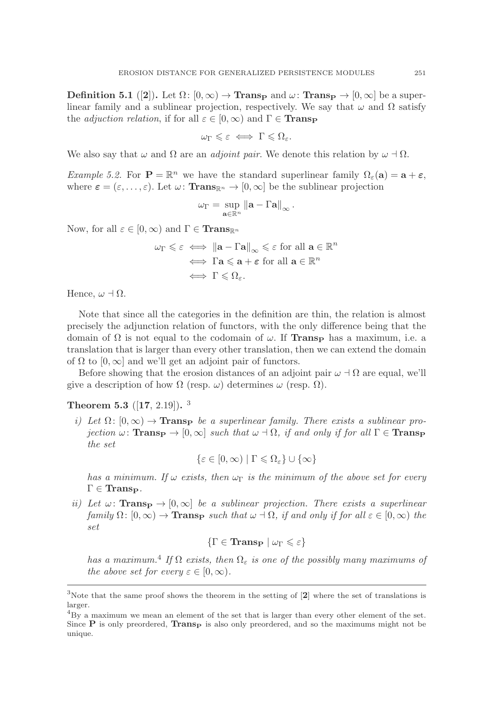**Definition 5.1** ([**2**]). Let  $\Omega: [0, \infty) \to \textbf{Trans}_{\mathbf{P}}$  and  $\omega: \textbf{Trans}_{\mathbf{P}} \to [0, \infty]$  be a superlinear family and a sublinear projection, respectively. We say that  $\omega$  and  $\Omega$  satisfy the *adjuction relation*, if for all  $\varepsilon \in [0,\infty)$  and  $\Gamma \in \mathbf{Transp}$ 

$$
\omega_{\Gamma} \leqslant \varepsilon \iff \Gamma \leqslant \Omega_{\varepsilon}.
$$

We also say that  $\omega$  and  $\Omega$  are an *adjoint pair*. We denote this relation by  $\omega \dashv \Omega$ .

*Example 5.2.* For  $\mathbf{P} = \mathbb{R}^n$  we have the standard superlinear family  $\Omega_{\varepsilon}(\mathbf{a}) = \mathbf{a} + \varepsilon$ , where  $\varepsilon = (\varepsilon, \dots, \varepsilon)$ . Let  $\omega$ : **Trans**<sub>R<sup>n</sup></sub>  $\rightarrow$  [0,  $\infty$ ] be the sublinear projection

$$
\omega_{\Gamma} = \sup_{\mathbf{a}\in\mathbb{R}^n} \|\mathbf{a} - \Gamma \mathbf{a}\|_{\infty}.
$$

Now, for all  $\varepsilon \in [0, \infty)$  and  $\Gamma \in \mathbf{Trans}_{\mathbb{R}^n}$ 

$$
\omega_{\Gamma} \leq \varepsilon \iff \|\mathbf{a} - \Gamma \mathbf{a}\|_{\infty} \leq \varepsilon \text{ for all } \mathbf{a} \in \mathbb{R}^n
$$

$$
\iff \Gamma \mathbf{a} \leq \mathbf{a} + \varepsilon \text{ for all } \mathbf{a} \in \mathbb{R}^n
$$

$$
\iff \Gamma \leq \Omega_{\varepsilon}.
$$

Hence,  $\omega \dashv \Omega$ .

Note that since all the categories in the definition are thin, the relation is almost precisely the adjunction relation of functors, with the only difference being that the domain of Ω is not equal to the codomain of ω. If **Trans<sup>P</sup>** has a maximum, i.e. a translation that is larger than every other translation, then we can extend the domain of  $\Omega$  to  $[0,\infty]$  and we'll get an adjoint pair of functors.

Before showing that the erosion distances of an adjoint pair  $\omega \dashv \Omega$  are equal, we'll give a description of how  $\Omega$  (resp.  $\omega$ ) determines  $\omega$  (resp.  $\Omega$ ).

**Theorem 5.3** ([**17**, 2.19])**.** <sup>3</sup>

i) Let  $\Omega: [0, \infty) \to \mathbf{Trans}_{\mathbf{P}}$  be a superlinear family. There exists a sublinear projection  $\omega$ : **TransP**  $\rightarrow$  [0,  $\infty$ ] such that  $\omega$   $\rightarrow$   $\Omega$ , if and only if for all  $\Gamma \in$  **TransP** the set

 $\{\varepsilon \in [0, \infty) \mid \Gamma \leq \Omega_{\varepsilon}\} \cup \{\infty\}$ 

has a minimum. If  $\omega$  exists, then  $\omega_{\Gamma}$  is the minimum of the above set for every  $\Gamma \in \mathbf{Trans}_{\mathbf{P}}$ .

ii) Let  $\omega$ : **TransP**  $\rightarrow$  [0,  $\infty$ ] be a sublinear projection. There exists a superlinear family  $\Omega: [0, \infty) \to \mathbf{Trans}_{\mathbf{P}}$  such that  $\omega \dashv \Omega$ , if and only if for all  $\varepsilon \in [0, \infty)$  the set

$$
\{\Gamma \in \mathbf{Trans}_{\mathbf{P}} \mid \omega_{\Gamma} \leqslant \varepsilon\}
$$

has a maximum.<sup>4</sup> If  $\Omega$  exists, then  $\Omega_{\varepsilon}$  is one of the possibly many maximums of the above set for every  $\varepsilon \in [0,\infty)$ .

<sup>3</sup>Note that the same proof shows the theorem in the setting of [**2**] where the set of translations is larger.

 ${}^{4}$ By a maximum we mean an element of the set that is larger than every other element of the set. Since  $\bf{P}$  is only preordered, **TransP** is also only preordered, and so the maximums might not be unique.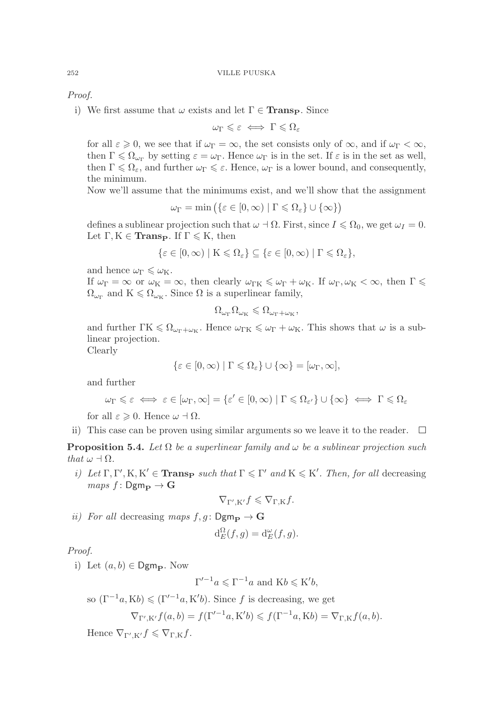Proof.

i) We first assume that  $\omega$  exists and let  $\Gamma \in \mathbf{Trans}_{\mathbf{P}}$ . Since

$$
\omega_{\Gamma} \leqslant \varepsilon \iff \Gamma \leqslant \Omega_{\varepsilon}
$$

for all  $\varepsilon \geq 0$ , we see that if  $\omega_{\Gamma} = \infty$ , the set consists only of  $\infty$ , and if  $\omega_{\Gamma} < \infty$ , then  $\Gamma \leq \Omega_{\omega_{\Gamma}}$  by setting  $\varepsilon = \omega_{\Gamma}$ . Hence  $\omega_{\Gamma}$  is in the set. If  $\varepsilon$  is in the set as well, then  $\Gamma \leq \Omega_{\varepsilon}$ , and further  $\omega_{\Gamma} \leq \varepsilon$ . Hence,  $\omega_{\Gamma}$  is a lower bound, and consequently, the minimum.

Now we'll assume that the minimums exist, and we'll show that the assignment

$$
\omega_{\Gamma} = \min \left( \{ \varepsilon \in [0, \infty) \mid \Gamma \leq \Omega_{\varepsilon} \} \cup \{ \infty \} \right)
$$

defines a sublinear projection such that  $\omega \dashv \Omega$ . First, since  $I \leq \Omega_0$ , we get  $\omega_I = 0$ . Let  $\Gamma, K \in \mathbf{Trans}_{\mathbf{P}}$ . If  $\Gamma \leqslant K$ , then

$$
\{\varepsilon \in [0,\infty) \mid K \leqslant \Omega_{\varepsilon}\} \subseteq \{\varepsilon \in [0,\infty) \mid \Gamma \leqslant \Omega_{\varepsilon}\},\
$$

and hence  $\omega_{\Gamma} \leq \omega_{\mathrm{K}}$ .

If  $\omega_{\Gamma} = \infty$  or  $\omega_{\text{K}} = \infty$ , then clearly  $\omega_{\Gamma\text{K}} \leq \omega_{\Gamma} + \omega_{\text{K}}$ . If  $\omega_{\Gamma}, \omega_{\text{K}} < \infty$ , then  $\Gamma \leq$  $\Omega_{\omega_{\Gamma}}$  and  $K \leq \Omega_{\omega_{K}}$ . Since  $\Omega$  is a superlinear family,

$$
\Omega_{\omega_{\Gamma}}\Omega_{\omega_{\mathrm{K}}} \leqslant \Omega_{\omega_{\Gamma}+\omega_{\mathrm{K}}},
$$

and further  $\Gamma K \leq \Omega_{\omega_{\Gamma} + \omega_{K}}$ . Hence  $\omega_{\Gamma K} \leq \omega_{\Gamma} + \omega_{K}$ . This shows that  $\omega$  is a sublinear projection.

Clearly

$$
\{\varepsilon \in [0,\infty) \mid \Gamma \leq \Omega_{\varepsilon}\} \cup \{\infty\} = [\omega_{\Gamma},\infty],
$$

and further

$$
\omega_{\Gamma} \leq \varepsilon \iff \varepsilon \in [\omega_{\Gamma}, \infty] = \{\varepsilon' \in [0, \infty) \mid \Gamma \leq \Omega_{\varepsilon'}\} \cup \{\infty\} \iff \Gamma \leq \Omega_{\varepsilon}
$$

for all  $\varepsilon \geqslant 0$ . Hence  $\omega \dashv \Omega$ .

ii) This case can be proven using similar arguments so we leave it to the reader.  $\Box$ 

**Proposition 5.4.** Let  $\Omega$  be a superlinear family and  $\omega$  be a sublinear projection such that  $\omega \dashv \Omega$ .

i) Let  $\Gamma, \Gamma', K, K' \in \mathbf{Trans}_{\mathbf{P}}$  such that  $\Gamma \leq \Gamma'$  and  $K \leq K'$ . Then, for all decreasing  $maps f: Dgm_{\mathbf{P}} \rightarrow \mathbf{G}$ 

$$
\nabla_{\Gamma',\mathcal{K}'} f \leqslant \nabla_{\Gamma,\mathcal{K}} f.
$$

ii) For all decreasing maps  $f, g: \mathsf{Dgm}_{\mathbf{P}} \to \mathbf{G}$ 

$$
\mathrm{d}_E^{\Omega}(f,g) = \mathrm{d}_E^{\omega}(f,g).
$$

Proof.

i) Let  $(a, b) \in \mathsf{Dgm}_{\mathbf{P}}$ . Now

$$
\Gamma'^{-1}a \leqslant \Gamma^{-1}a \text{ and } Kb \leqslant K'b,
$$

so  $(\Gamma^{-1}a, Kb) \leqslant (\Gamma'^{-1}a, K'b)$ . Since f is decreasing, we get

$$
\nabla_{\Gamma',\mathcal{K}'}f(a,b) = f(\Gamma'^{-1}a,\mathcal{K}'b) \leqslant f(\Gamma^{-1}a,\mathcal{K}b) = \nabla_{\Gamma,\mathcal{K}}f(a,b).
$$

Hence  $\nabla_{\Gamma',\mathbf{K}'} f \leqslant \nabla_{\Gamma,\mathbf{K}} f$ .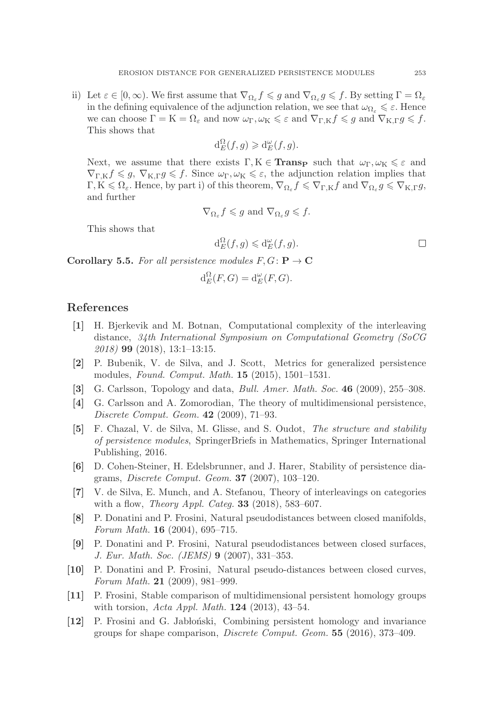ii) Let  $\varepsilon \in [0, \infty)$ . We first assume that  $\nabla_{\Omega_{\varepsilon}} f \leq g$  and  $\nabla_{\Omega_{\varepsilon}} g \leq f$ . By setting  $\Gamma = \Omega_{\varepsilon}$ in the defining equivalence of the adjunction relation, we see that  $\omega_{\Omega_{\varepsilon}} \leq \varepsilon$ . Hence we can choose  $\Gamma = K = \Omega_{\varepsilon}$  and now  $\omega_{\Gamma}, \omega_{K} \leq \varepsilon$  and  $\nabla_{\Gamma,K} f \leq g$  and  $\nabla_{K,\Gamma} g \leq f$ .<br>This shows that This shows that

$$
d_E^{\Omega}(f,g) \geq d_E^{\omega}(f,g).
$$

Next, we assume that there exists  $\Gamma, K \in \mathbf{Trans}_{\mathbf{P}}$  such that  $\omega_{\Gamma}, \omega_{K} \leq \varepsilon$  and  $\nabla_{\Gamma,K} f \leq g, \nabla_{K,\Gamma} g \leq f.$  Since  $\omega_{\Gamma}, \omega_{K} \leq \varepsilon$ , the adjunction relation implies that  $\Gamma, K \leq \Omega_{\varepsilon}$ . Hence, by part i) of this theorem,  $\nabla_{\Omega_{\varepsilon}} f \leqslant \nabla_{\Gamma,K} f$  and  $\nabla_{\Omega_{\varepsilon}} g \leqslant \nabla_{K,\Gamma} g$ , and further

$$
\nabla_{\Omega_{\varepsilon}} f \leqslant g \text{ and } \nabla_{\Omega_{\varepsilon}} g \leqslant f.
$$

This shows that

$$
d_E^{\Omega}(f,g) \leq d_E^{\omega}(f,g).
$$

**Corollary 5.5.** For all persistence modules  $F, G: \mathbf{P} \to \mathbf{C}$ 

$$
\mathrm{d}_E^{\Omega}(F,G) = \mathrm{d}_E^{\omega}(F,G).
$$

## **References**

- **[1]** H. Bjerkevik and M. Botnan, Computational complexity of the interleaving distance, 34th International Symposium on Computational Geometry (SoCG 2018) **99** (2018), 13:1–13:15.
- **[2]** P. Bubenik, V. de Silva, and J. Scott, Metrics for generalized persistence modules, Found. Comput. Math. **15** (2015), 1501–1531.
- **[3]** G. Carlsson, Topology and data, Bull. Amer. Math. Soc. **46** (2009), 255–308.
- **[4]** G. Carlsson and A. Zomorodian, The theory of multidimensional persistence, Discrete Comput. Geom. **42** (2009), 71–93.
- **[5]** F. Chazal, V. de Silva, M. Glisse, and S. Oudot, The structure and stability of persistence modules, SpringerBriefs in Mathematics, Springer International Publishing, 2016.
- **[6]** D. Cohen-Steiner, H. Edelsbrunner, and J. Harer, Stability of persistence diagrams, Discrete Comput. Geom. **37** (2007), 103–120.
- **[7]** V. de Silva, E. Munch, and A. Stefanou, Theory of interleavings on categories with a flow, Theory Appl. Categ. **33** (2018), 583–607.
- **[8]** P. Donatini and P. Frosini, Natural pseudodistances between closed manifolds, Forum Math. **16** (2004), 695–715.
- **[9]** P. Donatini and P. Frosini, Natural pseudodistances between closed surfaces, J. Eur. Math. Soc. (JEMS) **9** (2007), 331–353.
- **[10]** P. Donatini and P. Frosini, Natural pseudo-distances between closed curves, Forum Math. **21** (2009), 981–999.
- **[11]** P. Frosini, Stable comparison of multidimensional persistent homology groups with torsion, Acta Appl. Math. **124** (2013), 43–54.
- **[12]** P. Frosini and G. Jablo´nski, Combining persistent homology and invariance groups for shape comparison, Discrete Comput. Geom. **55** (2016), 373–409.